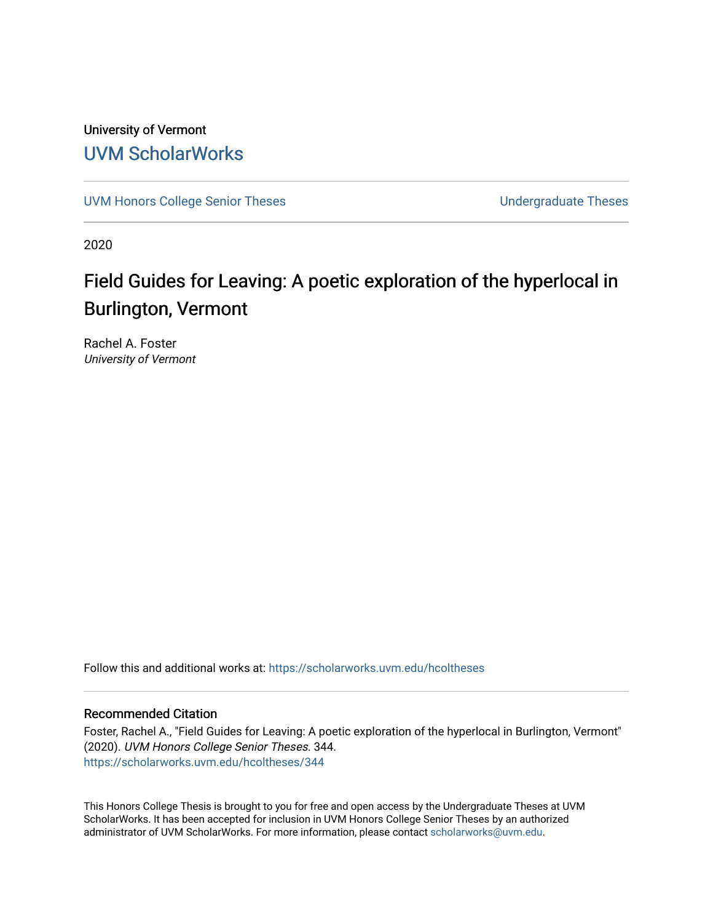University of Vermont [UVM ScholarWorks](https://scholarworks.uvm.edu/)

[UVM Honors College Senior Theses](https://scholarworks.uvm.edu/hcoltheses) **Exercise Sension College Senior Theses** Undergraduate Theses

2020

## Field Guides for Leaving: A poetic exploration of the hyperlocal in Burlington, Vermont

Rachel A. Foster University of Vermont

Follow this and additional works at: [https://scholarworks.uvm.edu/hcoltheses](https://scholarworks.uvm.edu/hcoltheses?utm_source=scholarworks.uvm.edu%2Fhcoltheses%2F344&utm_medium=PDF&utm_campaign=PDFCoverPages) 

#### Recommended Citation

Foster, Rachel A., "Field Guides for Leaving: A poetic exploration of the hyperlocal in Burlington, Vermont" (2020). UVM Honors College Senior Theses. 344. [https://scholarworks.uvm.edu/hcoltheses/344](https://scholarworks.uvm.edu/hcoltheses/344?utm_source=scholarworks.uvm.edu%2Fhcoltheses%2F344&utm_medium=PDF&utm_campaign=PDFCoverPages) 

This Honors College Thesis is brought to you for free and open access by the Undergraduate Theses at UVM ScholarWorks. It has been accepted for inclusion in UVM Honors College Senior Theses by an authorized administrator of UVM ScholarWorks. For more information, please contact [scholarworks@uvm.edu](mailto:scholarworks@uvm.edu).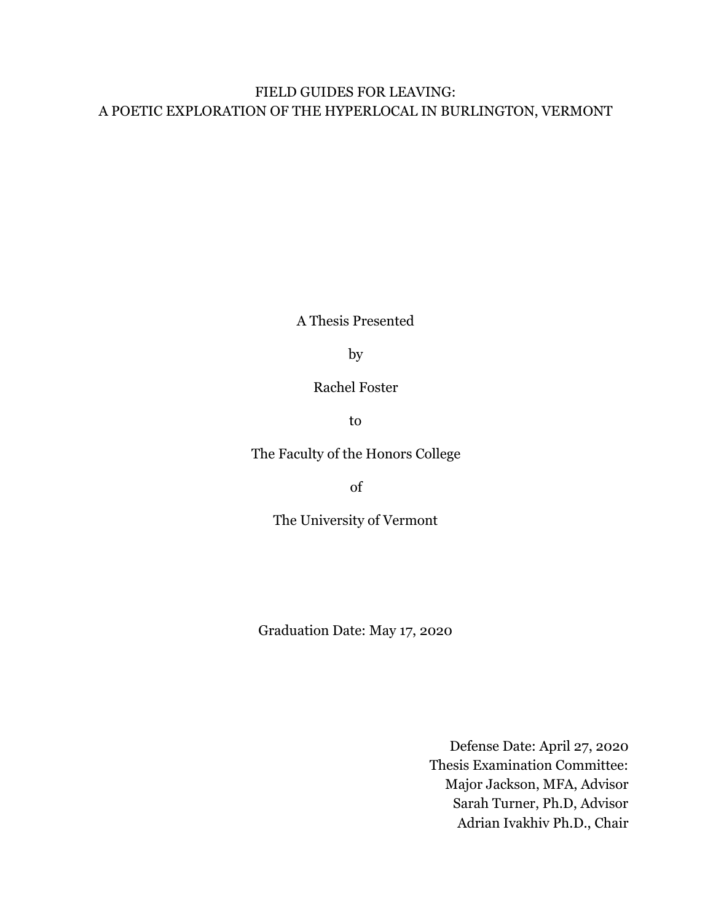#### FIELD GUIDES FOR LEAVING: A POETIC EXPLORATION OF THE HYPERLOCAL IN BURLINGTON, VERMONT

A Thesis Presented

by

Rachel Foster

to

The Faculty of the Honors College

of

The University of Vermont

Graduation Date: May 17, 2020

Defense Date: April 27, 2020 Thesis Examination Committee: Major Jackson, MFA, Advisor Sarah Turner, Ph.D, Advisor Adrian Ivakhiv Ph.D., Chair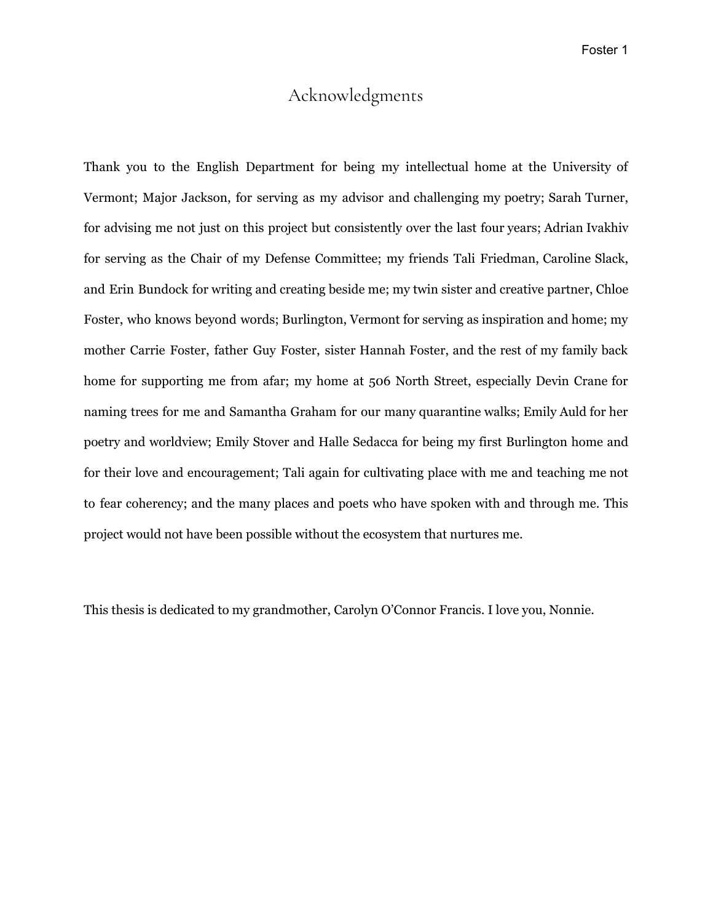#### Acknowledgments

Thank you to the English Department for being my intellectual home at the University of Vermont; Major Jackson, for serving as my advisor and challenging my poetry; Sarah Turner, for advising me not just on this project but consistently over the last four years; Adrian Ivakhiv for serving as the Chair of my Defense Committee; my friends Tali Friedman, Caroline Slack, and Erin Bundock for writing and creating beside me; my twin sister and creative partner, Chloe Foster, who knows beyond words; Burlington, Vermont for serving as inspiration and home; my mother Carrie Foster, father Guy Foster, sister Hannah Foster, and the rest of my family back home for supporting me from afar; my home at 506 North Street, especially Devin Crane for naming trees for me and Samantha Graham for our many quarantine walks; Emily Auld for her poetry and worldview; Emily Stover and Halle Sedacca for being my first Burlington home and for their love and encouragement; Tali again for cultivating place with me and teaching me not to fear coherency; and the many places and poets who have spoken with and through me. This project would not have been possible without the ecosystem that nurtures me.

This thesis is dedicated to my grandmother, Carolyn O'Connor Francis. I love you, Nonnie.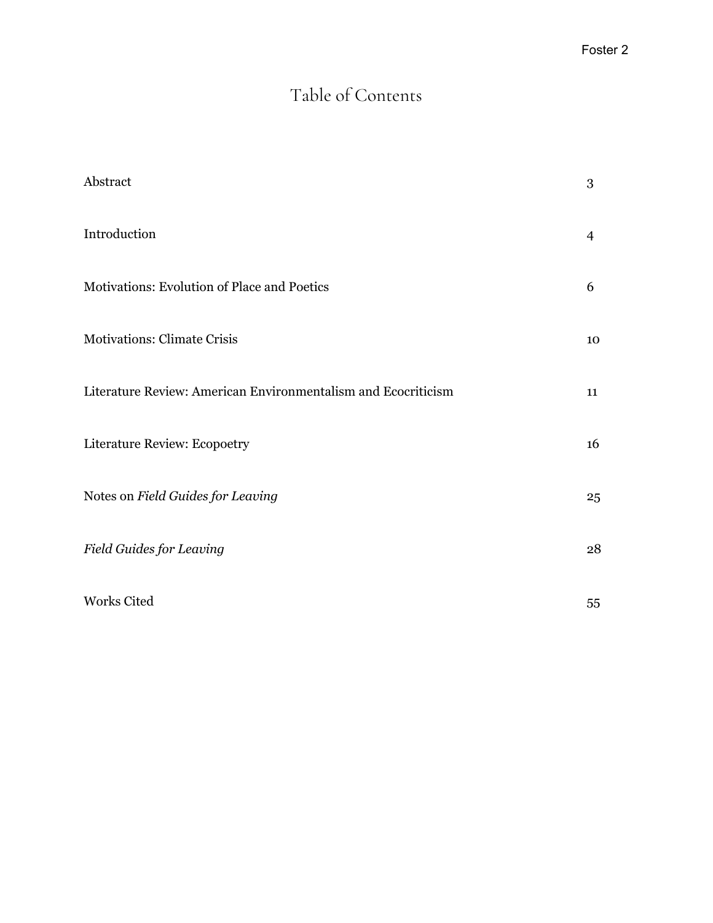# Table of Contents

| Abstract                                                      | 3  |
|---------------------------------------------------------------|----|
| Introduction                                                  | 4  |
| Motivations: Evolution of Place and Poetics                   | 6  |
| <b>Motivations: Climate Crisis</b>                            | 10 |
| Literature Review: American Environmentalism and Ecocriticism | 11 |
| Literature Review: Ecopoetry                                  | 16 |
| Notes on Field Guides for Leaving                             | 25 |
| <b>Field Guides for Leaving</b>                               | 28 |
| Works Cited                                                   | 55 |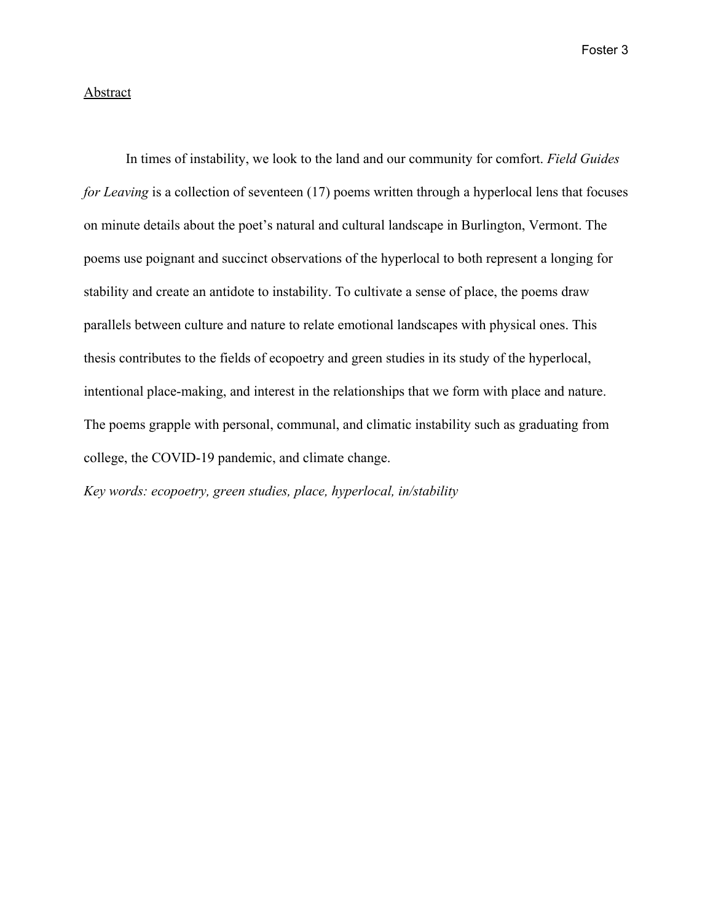#### **Abstract**

In times of instability, we look to the land and our community for comfort. *Field Guides for Leaving* is a collection of seventeen (17) poems written through a hyperlocal lens that focuses on minute details about the poet's natural and cultural landscape in Burlington, Vermont. The poems use poignant and succinct observations of the hyperlocal to both represent a longing for stability and create an antidote to instability. To cultivate a sense of place, the poems draw parallels between culture and nature to relate emotional landscapes with physical ones. This thesis contributes to the fields of ecopoetry and green studies in its study of the hyperlocal, intentional place-making, and interest in the relationships that we form with place and nature. The poems grapple with personal, communal, and climatic instability such as graduating from college, the COVID-19 pandemic, and climate change.

*Key words: ecopoetry, green studies, place, hyperlocal, in/stability*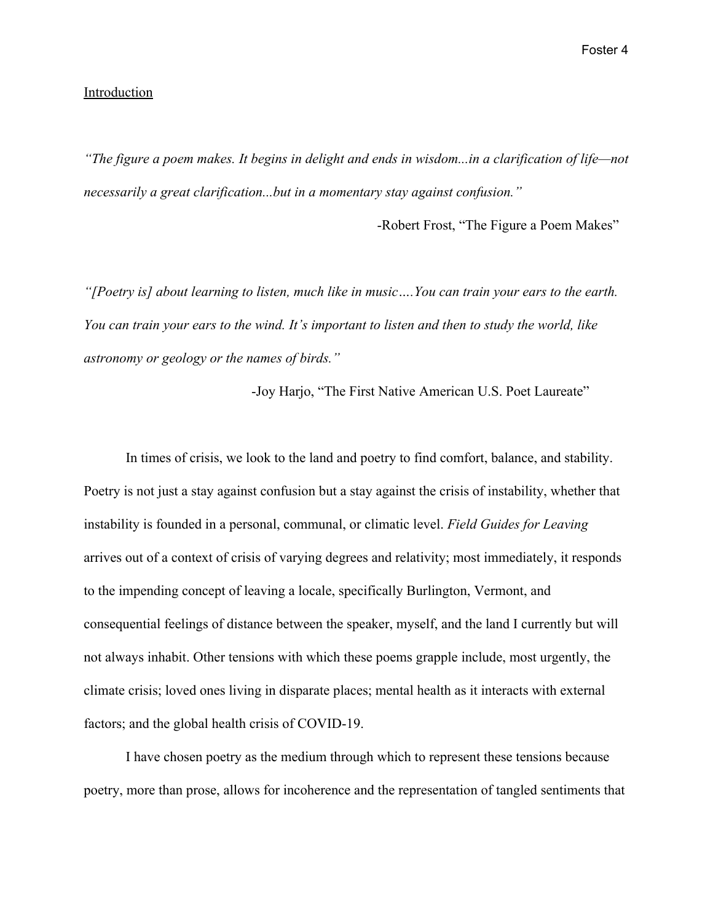#### Introduction

*"The figure a poem makes. It begins in delight and ends in wisdom...in a clarification of life—not necessarily a great clarification...but in a momentary stay against confusion."*

-Robert Frost, "The Figure a Poem Makes"

*"[Poetry is] about learning to listen, much like in music….You can train your ears to the earth. You can train your ears to the wind. It's important to listen and then to study the world, like astronomy or geology or the names of birds."*

-Joy Harjo, "The First Native American U.S. Poet Laureate"

In times of crisis, we look to the land and poetry to find comfort, balance, and stability. Poetry is not just a stay against confusion but a stay against the crisis of instability, whether that instability is founded in a personal, communal, or climatic level. *Field Guides for Leaving* arrives out of a context of crisis of varying degrees and relativity; most immediately, it responds to the impending concept of leaving a locale, specifically Burlington, Vermont, and consequential feelings of distance between the speaker, myself, and the land I currently but will not always inhabit. Other tensions with which these poems grapple include, most urgently, the climate crisis; loved ones living in disparate places; mental health as it interacts with external factors; and the global health crisis of COVID-19.

I have chosen poetry as the medium through which to represent these tensions because poetry, more than prose, allows for incoherence and the representation of tangled sentiments that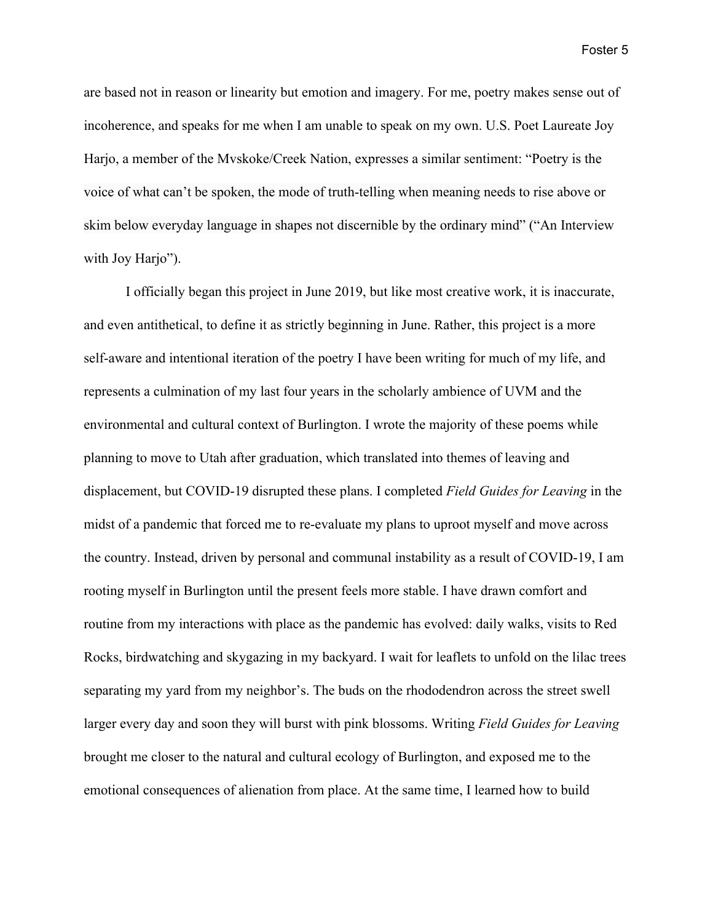are based not in reason or linearity but emotion and imagery. For me, poetry makes sense out of incoherence, and speaks for me when I am unable to speak on my own. U.S. Poet Laureate Joy Harjo, a member of the Mvskoke/Creek Nation, expresses a similar sentiment: "Poetry is the voice of what can't be spoken, the mode of truth-telling when meaning needs to rise above or skim below everyday language in shapes not discernible by the ordinary mind" ("An Interview with Joy Harjo").

I officially began this project in June 2019, but like most creative work, it is inaccurate, and even antithetical, to define it as strictly beginning in June. Rather, this project is a more self-aware and intentional iteration of the poetry I have been writing for much of my life, and represents a culmination of my last four years in the scholarly ambience of UVM and the environmental and cultural context of Burlington. I wrote the majority of these poems while planning to move to Utah after graduation, which translated into themes of leaving and displacement, but COVID-19 disrupted these plans. I completed *Field Guides for Leaving* in the midst of a pandemic that forced me to re-evaluate my plans to uproot myself and move across the country. Instead, driven by personal and communal instability as a result of COVID-19, I am rooting myself in Burlington until the present feels more stable. I have drawn comfort and routine from my interactions with place as the pandemic has evolved: daily walks, visits to Red Rocks, birdwatching and skygazing in my backyard. I wait for leaflets to unfold on the lilac trees separating my yard from my neighbor's. The buds on the rhododendron across the street swell larger every day and soon they will burst with pink blossoms. Writing *Field Guides for Leaving* brought me closer to the natural and cultural ecology of Burlington, and exposed me to the emotional consequences of alienation from place. At the same time, I learned how to build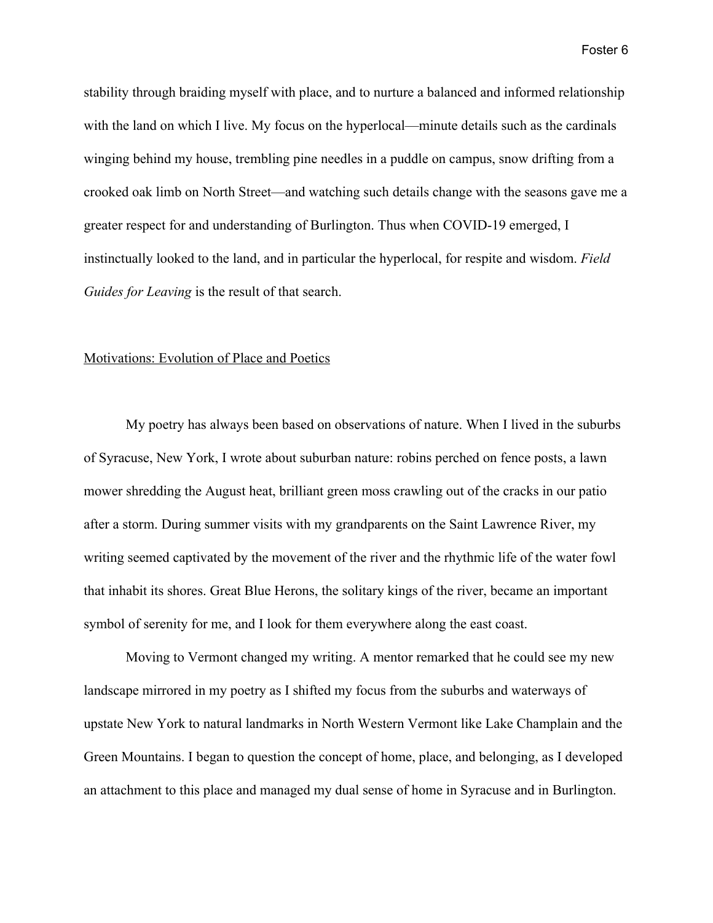stability through braiding myself with place, and to nurture a balanced and informed relationship with the land on which I live. My focus on the hyperlocal—minute details such as the cardinals winging behind my house, trembling pine needles in a puddle on campus, snow drifting from a crooked oak limb on North Street—and watching such details change with the seasons gave me a greater respect for and understanding of Burlington. Thus when COVID-19 emerged, I instinctually looked to the land, and in particular the hyperlocal, for respite and wisdom. *Field Guides for Leaving* is the result of that search.

#### Motivations: Evolution of Place and Poetics

My poetry has always been based on observations of nature. When I lived in the suburbs of Syracuse, New York, I wrote about suburban nature: robins perched on fence posts, a lawn mower shredding the August heat, brilliant green moss crawling out of the cracks in our patio after a storm. During summer visits with my grandparents on the Saint Lawrence River, my writing seemed captivated by the movement of the river and the rhythmic life of the water fowl that inhabit its shores. Great Blue Herons, the solitary kings of the river, became an important symbol of serenity for me, and I look for them everywhere along the east coast.

Moving to Vermont changed my writing. A mentor remarked that he could see my new landscape mirrored in my poetry as I shifted my focus from the suburbs and waterways of upstate New York to natural landmarks in North Western Vermont like Lake Champlain and the Green Mountains. I began to question the concept of home, place, and belonging, as I developed an attachment to this place and managed my dual sense of home in Syracuse and in Burlington.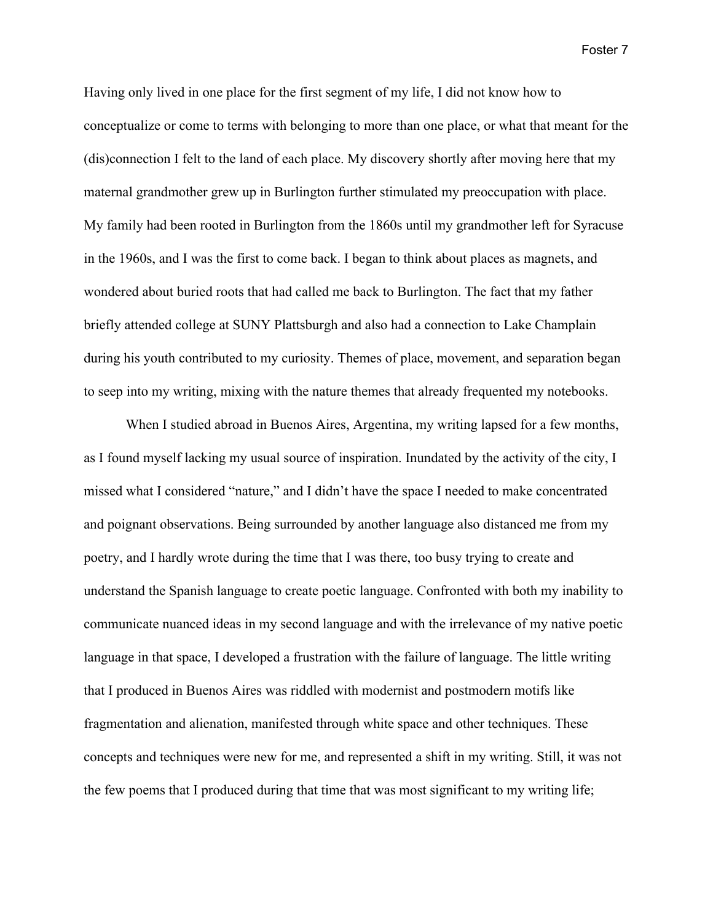Having only lived in one place for the first segment of my life, I did not know how to conceptualize or come to terms with belonging to more than one place, or what that meant for the (dis)connection I felt to the land of each place. My discovery shortly after moving here that my maternal grandmother grew up in Burlington further stimulated my preoccupation with place. My family had been rooted in Burlington from the 1860s until my grandmother left for Syracuse in the 1960s, and I was the first to come back. I began to think about places as magnets, and wondered about buried roots that had called me back to Burlington. The fact that my father briefly attended college at SUNY Plattsburgh and also had a connection to Lake Champlain during his youth contributed to my curiosity. Themes of place, movement, and separation began to seep into my writing, mixing with the nature themes that already frequented my notebooks.

When I studied abroad in Buenos Aires, Argentina, my writing lapsed for a few months, as I found myself lacking my usual source of inspiration. Inundated by the activity of the city, I missed what I considered "nature," and I didn't have the space I needed to make concentrated and poignant observations. Being surrounded by another language also distanced me from my poetry, and I hardly wrote during the time that I was there, too busy trying to create and understand the Spanish language to create poetic language. Confronted with both my inability to communicate nuanced ideas in my second language and with the irrelevance of my native poetic language in that space, I developed a frustration with the failure of language. The little writing that I produced in Buenos Aires was riddled with modernist and postmodern motifs like fragmentation and alienation, manifested through white space and other techniques. These concepts and techniques were new for me, and represented a shift in my writing. Still, it was not the few poems that I produced during that time that was most significant to my writing life;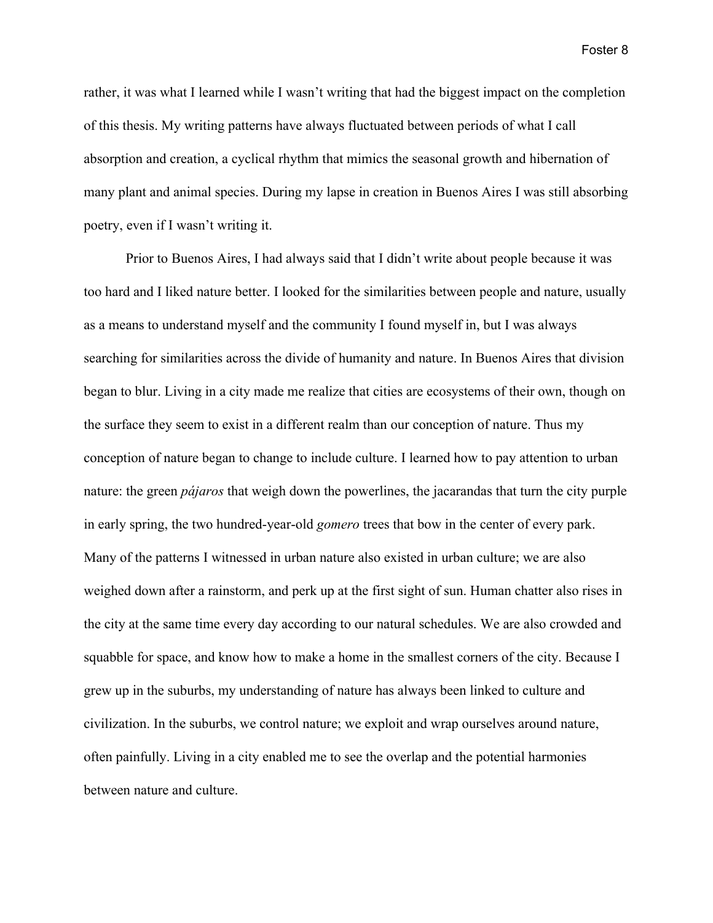rather, it was what I learned while I wasn't writing that had the biggest impact on the completion of this thesis. My writing patterns have always fluctuated between periods of what I call absorption and creation, a cyclical rhythm that mimics the seasonal growth and hibernation of many plant and animal species. During my lapse in creation in Buenos Aires I was still absorbing poetry, even if I wasn't writing it.

Prior to Buenos Aires, I had always said that I didn't write about people because it was too hard and I liked nature better. I looked for the similarities between people and nature, usually as a means to understand myself and the community I found myself in, but I was always searching for similarities across the divide of humanity and nature. In Buenos Aires that division began to blur. Living in a city made me realize that cities are ecosystems of their own, though on the surface they seem to exist in a different realm than our conception of nature. Thus my conception of nature began to change to include culture. I learned how to pay attention to urban nature: the green *pájaros* that weigh down the powerlines, the jacarandas that turn the city purple in early spring, the two hundred-year-old *gomero* trees that bow in the center of every park. Many of the patterns I witnessed in urban nature also existed in urban culture; we are also weighed down after a rainstorm, and perk up at the first sight of sun. Human chatter also rises in the city at the same time every day according to our natural schedules. We are also crowded and squabble for space, and know how to make a home in the smallest corners of the city. Because I grew up in the suburbs, my understanding of nature has always been linked to culture and civilization. In the suburbs, we control nature; we exploit and wrap ourselves around nature, often painfully. Living in a city enabled me to see the overlap and the potential harmonies between nature and culture.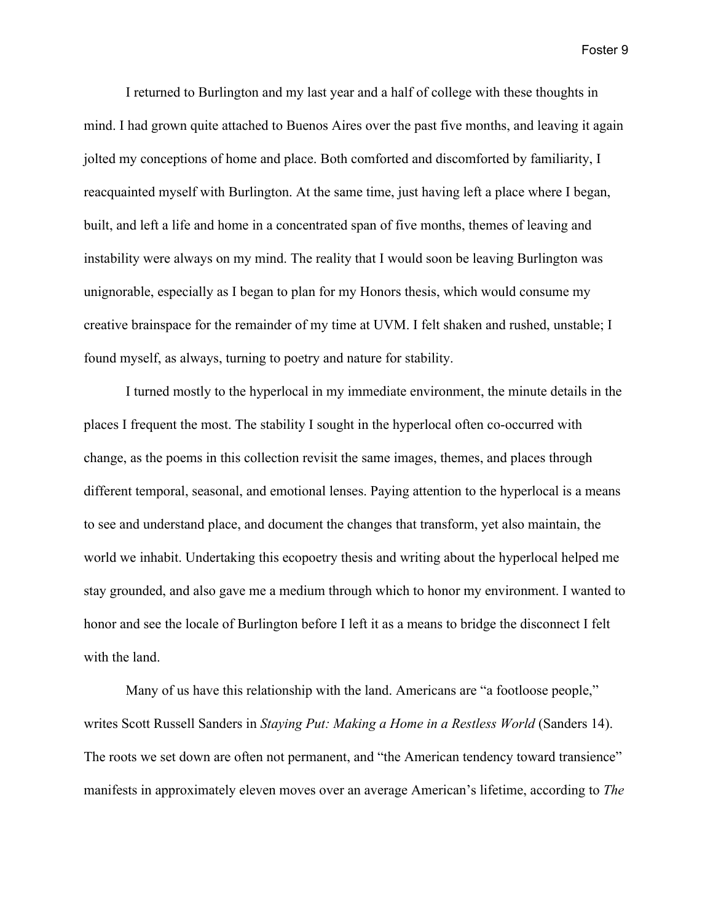I returned to Burlington and my last year and a half of college with these thoughts in mind. I had grown quite attached to Buenos Aires over the past five months, and leaving it again jolted my conceptions of home and place. Both comforted and discomforted by familiarity, I reacquainted myself with Burlington. At the same time, just having left a place where I began, built, and left a life and home in a concentrated span of five months, themes of leaving and instability were always on my mind. The reality that I would soon be leaving Burlington was unignorable, especially as I began to plan for my Honors thesis, which would consume my creative brainspace for the remainder of my time at UVM. I felt shaken and rushed, unstable; I found myself, as always, turning to poetry and nature for stability.

I turned mostly to the hyperlocal in my immediate environment, the minute details in the places I frequent the most. The stability I sought in the hyperlocal often co-occurred with change, as the poems in this collection revisit the same images, themes, and places through different temporal, seasonal, and emotional lenses. Paying attention to the hyperlocal is a means to see and understand place, and document the changes that transform, yet also maintain, the world we inhabit. Undertaking this ecopoetry thesis and writing about the hyperlocal helped me stay grounded, and also gave me a medium through which to honor my environment. I wanted to honor and see the locale of Burlington before I left it as a means to bridge the disconnect I felt with the land.

Many of us have this relationship with the land. Americans are "a footloose people," writes Scott Russell Sanders in *Staying Put: Making a Home in a Restless World* (Sanders 14). The roots we set down are often not permanent, and "the American tendency toward transience" manifests in approximately eleven moves over an average American's lifetime, according to *The*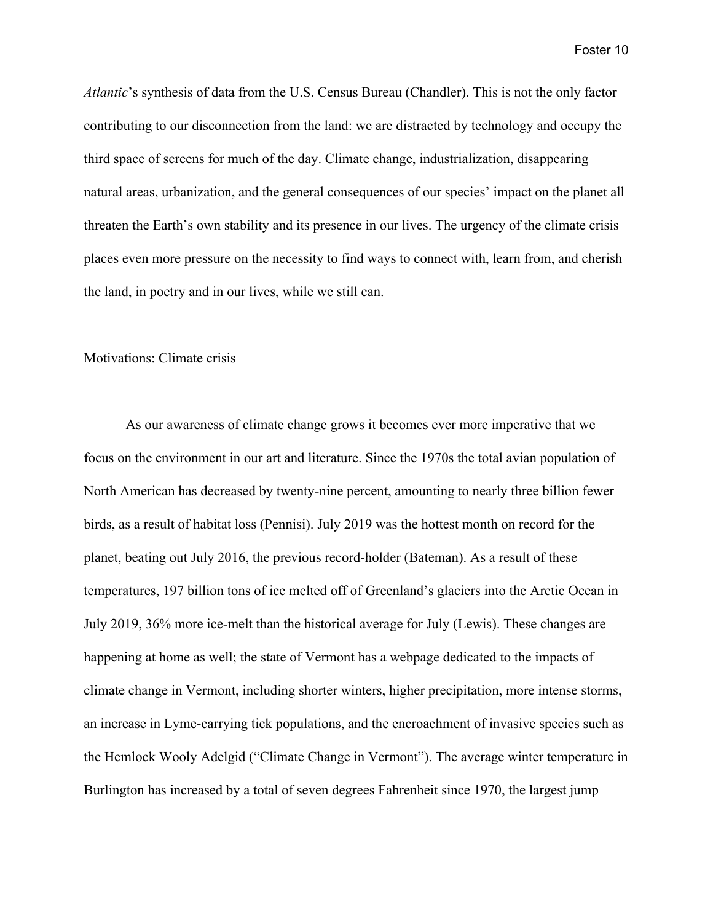*Atlantic*'s synthesis of data from the U.S. Census Bureau (Chandler). This is not the only factor contributing to our disconnection from the land: we are distracted by technology and occupy the third space of screens for much of the day. Climate change, industrialization, disappearing natural areas, urbanization, and the general consequences of our species' impact on the planet all threaten the Earth's own stability and its presence in our lives. The urgency of the climate crisis places even more pressure on the necessity to find ways to connect with, learn from, and cherish the land, in poetry and in our lives, while we still can.

#### Motivations: Climate crisis

As our awareness of climate change grows it becomes ever more imperative that we focus on the environment in our art and literature. Since the 1970s the total avian population of North American has decreased by twenty-nine percent, amounting to nearly three billion fewer birds, as a result of habitat loss (Pennisi). July 2019 was the hottest month on record for the planet, beating out July 2016, the previous record-holder (Bateman). As a result of these temperatures, 197 billion tons of ice melted off of Greenland's glaciers into the Arctic Ocean in July 2019, 36% more ice-melt than the historical average for July (Lewis). These changes are happening at home as well; the state of Vermont has a webpage dedicated to the impacts of climate change in Vermont, including shorter winters, higher precipitation, more intense storms, an increase in Lyme-carrying tick populations, and the encroachment of invasive species such as the Hemlock Wooly Adelgid ("Climate Change in Vermont"). The average winter temperature in Burlington has increased by a total of seven degrees Fahrenheit since 1970, the largest jump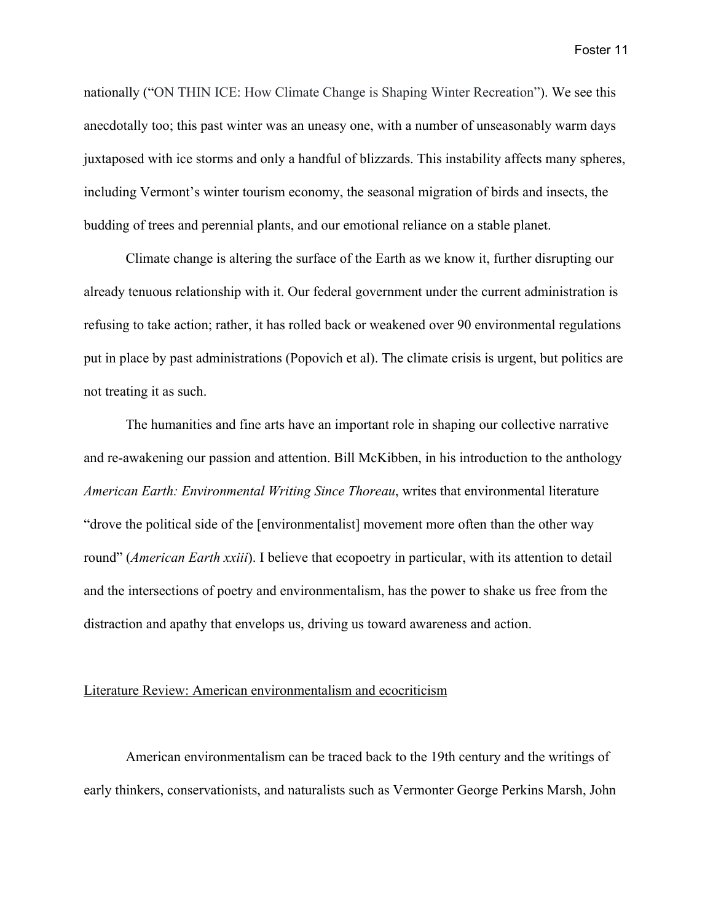nationally ("ON THIN ICE: How Climate Change is Shaping Winter Recreation"). We see this anecdotally too; this past winter was an uneasy one, with a number of unseasonably warm days juxtaposed with ice storms and only a handful of blizzards. This instability affects many spheres, including Vermont's winter tourism economy, the seasonal migration of birds and insects, the budding of trees and perennial plants, and our emotional reliance on a stable planet.

Climate change is altering the surface of the Earth as we know it, further disrupting our already tenuous relationship with it. Our federal government under the current administration is refusing to take action; rather, it has rolled back or weakened over 90 environmental regulations put in place by past administrations (Popovich et al). The climate crisis is urgent, but politics are not treating it as such.

The humanities and fine arts have an important role in shaping our collective narrative and re-awakening our passion and attention. Bill McKibben, in his introduction to the anthology *American Earth: Environmental Writing Since Thoreau*, writes that environmental literature "drove the political side of the [environmentalist] movement more often than the other way round" (*American Earth xxiii*). I believe that ecopoetry in particular, with its attention to detail and the intersections of poetry and environmentalism, has the power to shake us free from the distraction and apathy that envelops us, driving us toward awareness and action.

#### Literature Review: American environmentalism and ecocriticism

American environmentalism can be traced back to the 19th century and the writings of early thinkers, conservationists, and naturalists such as Vermonter George Perkins Marsh, John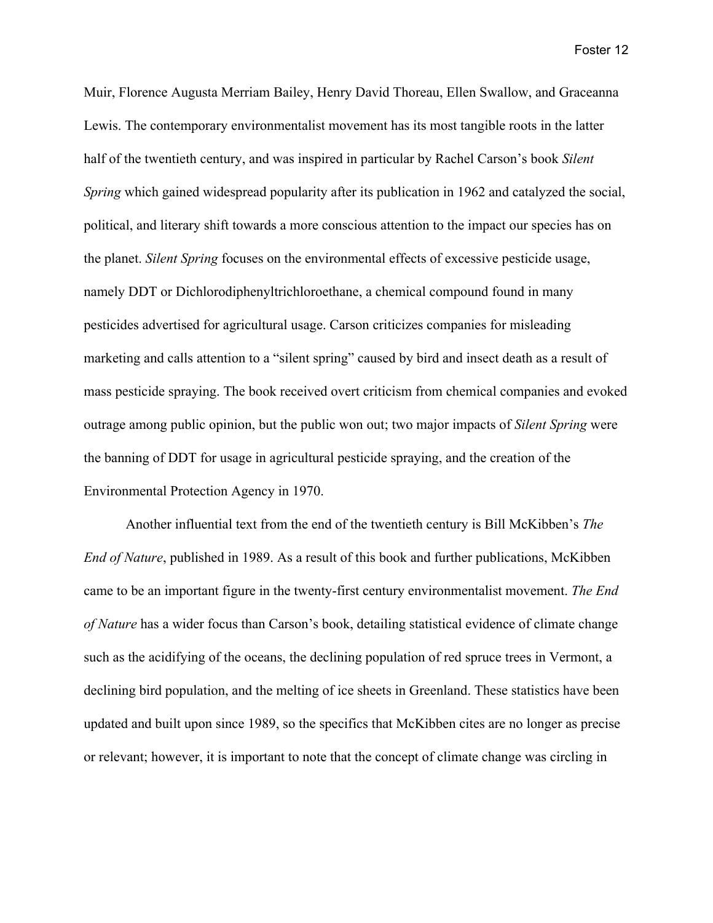Muir, Florence Augusta Merriam Bailey, Henry David Thoreau, Ellen Swallow, and Graceanna Lewis. The contemporary environmentalist movement has its most tangible roots in the latter half of the twentieth century, and was inspired in particular by Rachel Carson's book *Silent Spring* which gained widespread popularity after its publication in 1962 and catalyzed the social, political, and literary shift towards a more conscious attention to the impact our species has on the planet. *Silent Spring* focuses on the environmental effects of excessive pesticide usage, namely DDT or Dichlorodiphenyltrichloroethane, a chemical compound found in many pesticides advertised for agricultural usage. Carson criticizes companies for misleading marketing and calls attention to a "silent spring" caused by bird and insect death as a result of mass pesticide spraying. The book received overt criticism from chemical companies and evoked outrage among public opinion, but the public won out; two major impacts of *Silent Spring* were the banning of DDT for usage in agricultural pesticide spraying, and the creation of the Environmental Protection Agency in 1970.

Another influential text from the end of the twentieth century is Bill McKibben's *The End of Nature*, published in 1989. As a result of this book and further publications, McKibben came to be an important figure in the twenty-first century environmentalist movement. *The End of Nature* has a wider focus than Carson's book, detailing statistical evidence of climate change such as the acidifying of the oceans, the declining population of red spruce trees in Vermont, a declining bird population, and the melting of ice sheets in Greenland. These statistics have been updated and built upon since 1989, so the specifics that McKibben cites are no longer as precise or relevant; however, it is important to note that the concept of climate change was circling in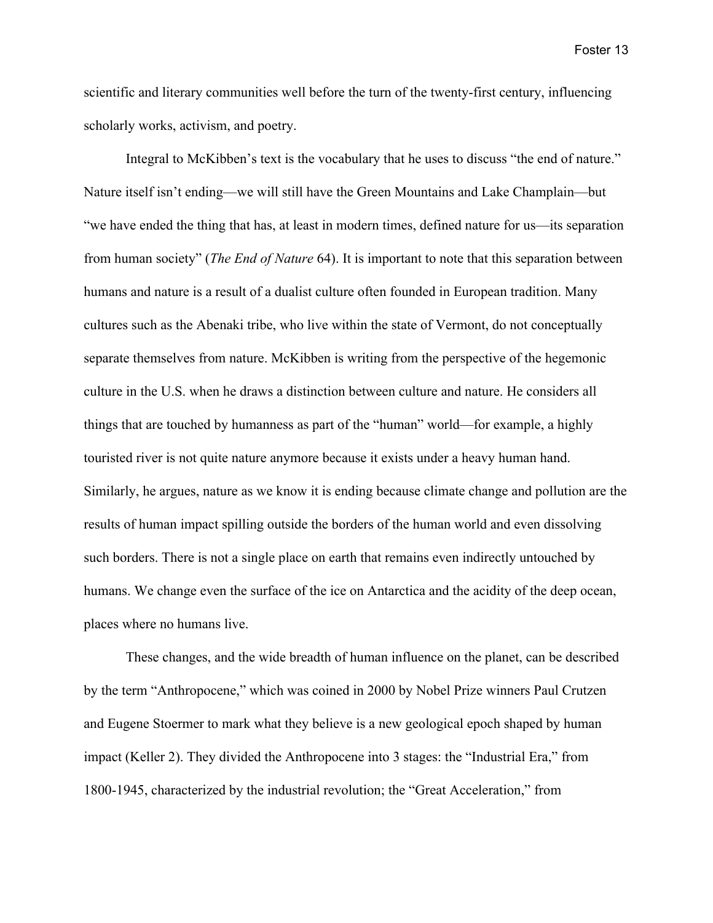scientific and literary communities well before the turn of the twenty-first century, influencing scholarly works, activism, and poetry.

Integral to McKibben's text is the vocabulary that he uses to discuss "the end of nature." Nature itself isn't ending—we will still have the Green Mountains and Lake Champlain—but "we have ended the thing that has, at least in modern times, defined nature for us—its separation from human society" (*The End of Nature* 64). It is important to note that this separation between humans and nature is a result of a dualist culture often founded in European tradition. Many cultures such as the Abenaki tribe, who live within the state of Vermont, do not conceptually separate themselves from nature. McKibben is writing from the perspective of the hegemonic culture in the U.S. when he draws a distinction between culture and nature. He considers all things that are touched by humanness as part of the "human" world—for example, a highly touristed river is not quite nature anymore because it exists under a heavy human hand. Similarly, he argues, nature as we know it is ending because climate change and pollution are the results of human impact spilling outside the borders of the human world and even dissolving such borders. There is not a single place on earth that remains even indirectly untouched by humans. We change even the surface of the ice on Antarctica and the acidity of the deep ocean, places where no humans live.

These changes, and the wide breadth of human influence on the planet, can be described by the term "Anthropocene," which was coined in 2000 by Nobel Prize winners Paul Crutzen and Eugene Stoermer to mark what they believe is a new geological epoch shaped by human impact (Keller 2). They divided the Anthropocene into 3 stages: the "Industrial Era," from 1800-1945, characterized by the industrial revolution; the "Great Acceleration," from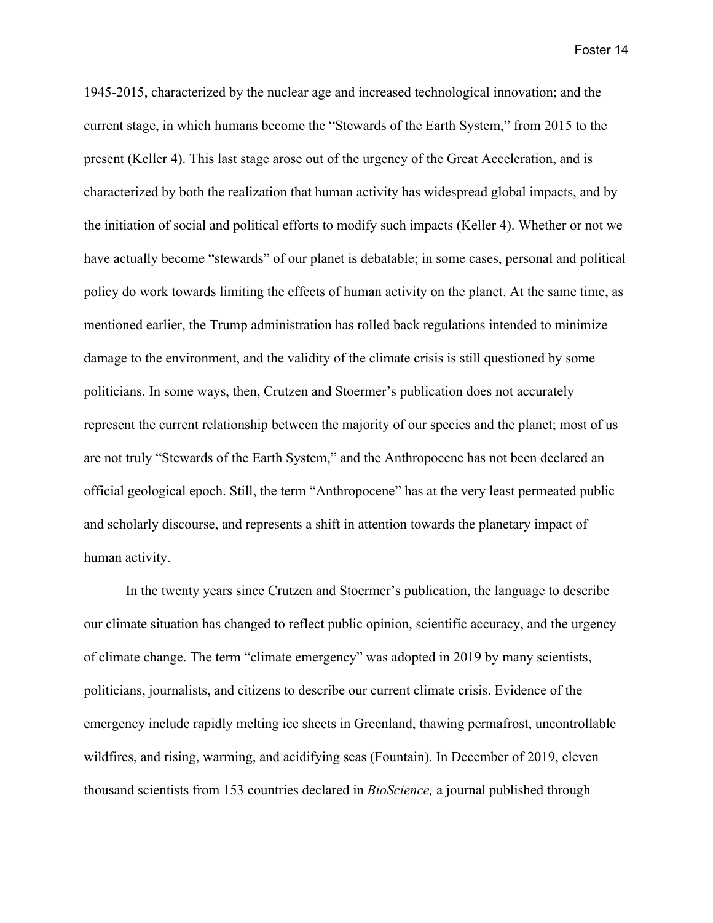1945-2015, characterized by the nuclear age and increased technological innovation; and the current stage, in which humans become the "Stewards of the Earth System," from 2015 to the present (Keller 4). This last stage arose out of the urgency of the Great Acceleration, and is characterized by both the realization that human activity has widespread global impacts, and by the initiation of social and political efforts to modify such impacts (Keller 4). Whether or not we have actually become "stewards" of our planet is debatable; in some cases, personal and political policy do work towards limiting the effects of human activity on the planet. At the same time, as mentioned earlier, the Trump administration has rolled back regulations intended to minimize damage to the environment, and the validity of the climate crisis is still questioned by some politicians. In some ways, then, Crutzen and Stoermer's publication does not accurately represent the current relationship between the majority of our species and the planet; most of us are not truly "Stewards of the Earth System," and the Anthropocene has not been declared an official geological epoch. Still, the term "Anthropocene" has at the very least permeated public and scholarly discourse, and represents a shift in attention towards the planetary impact of human activity.

In the twenty years since Crutzen and Stoermer's publication, the language to describe our climate situation has changed to reflect public opinion, scientific accuracy, and the urgency of climate change. The term "climate emergency" was adopted in 2019 by many scientists, politicians, journalists, and citizens to describe our current climate crisis. Evidence of the emergency include rapidly melting ice sheets in Greenland, thawing permafrost, uncontrollable wildfires, and rising, warming, and acidifying seas (Fountain). In December of 2019, eleven thousand scientists from 153 countries declared in *BioScience,* a journal published through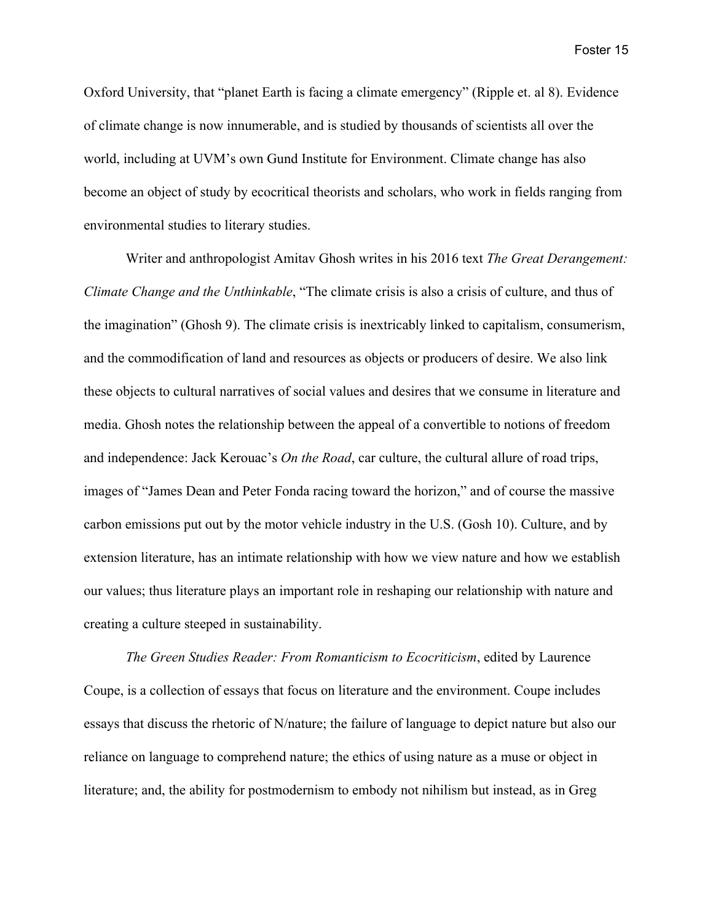Oxford University, that "planet Earth is facing a climate emergency" (Ripple et. al 8). Evidence of climate change is now innumerable, and is studied by thousands of scientists all over the world, including at UVM's own Gund Institute for Environment. Climate change has also become an object of study by ecocritical theorists and scholars, who work in fields ranging from environmental studies to literary studies.

Writer and anthropologist Amitav Ghosh writes in his 2016 text *The Great Derangement: Climate Change and the Unthinkable*, "The climate crisis is also a crisis of culture, and thus of the imagination" (Ghosh 9). The climate crisis is inextricably linked to capitalism, consumerism, and the commodification of land and resources as objects or producers of desire. We also link these objects to cultural narratives of social values and desires that we consume in literature and media. Ghosh notes the relationship between the appeal of a convertible to notions of freedom and independence: Jack Kerouac's *On the Road*, car culture, the cultural allure of road trips, images of "James Dean and Peter Fonda racing toward the horizon," and of course the massive carbon emissions put out by the motor vehicle industry in the U.S. (Gosh 10). Culture, and by extension literature, has an intimate relationship with how we view nature and how we establish our values; thus literature plays an important role in reshaping our relationship with nature and creating a culture steeped in sustainability.

*The Green Studies Reader: From Romanticism to Ecocriticism*, edited by Laurence Coupe, is a collection of essays that focus on literature and the environment. Coupe includes essays that discuss the rhetoric of N/nature; the failure of language to depict nature but also our reliance on language to comprehend nature; the ethics of using nature as a muse or object in literature; and, the ability for postmodernism to embody not nihilism but instead, as in Greg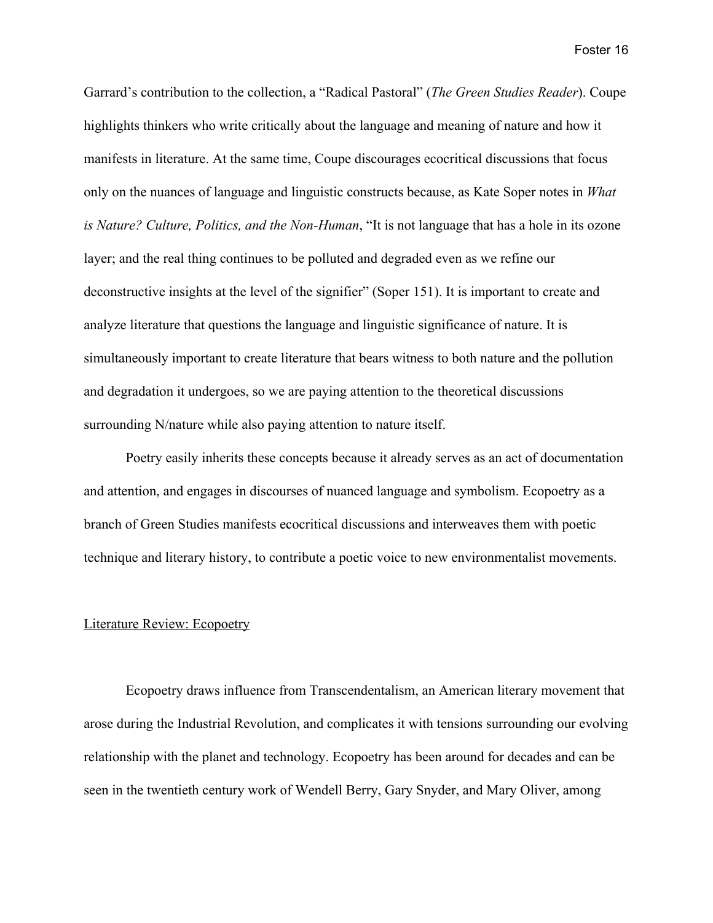Garrard's contribution to the collection, a "Radical Pastoral" (*The Green Studies Reader*). Coupe highlights thinkers who write critically about the language and meaning of nature and how it manifests in literature. At the same time, Coupe discourages ecocritical discussions that focus only on the nuances of language and linguistic constructs because, as Kate Soper notes in *What is Nature? Culture, Politics, and the Non-Human*, "It is not language that has a hole in its ozone layer; and the real thing continues to be polluted and degraded even as we refine our deconstructive insights at the level of the signifier" (Soper 151). It is important to create and analyze literature that questions the language and linguistic significance of nature. It is simultaneously important to create literature that bears witness to both nature and the pollution and degradation it undergoes, so we are paying attention to the theoretical discussions surrounding N/nature while also paying attention to nature itself.

Poetry easily inherits these concepts because it already serves as an act of documentation and attention, and engages in discourses of nuanced language and symbolism. Ecopoetry as a branch of Green Studies manifests ecocritical discussions and interweaves them with poetic technique and literary history, to contribute a poetic voice to new environmentalist movements.

#### Literature Review: Ecopoetry

Ecopoetry draws influence from Transcendentalism, an American literary movement that arose during the Industrial Revolution, and complicates it with tensions surrounding our evolving relationship with the planet and technology. Ecopoetry has been around for decades and can be seen in the twentieth century work of Wendell Berry, Gary Snyder, and Mary Oliver, among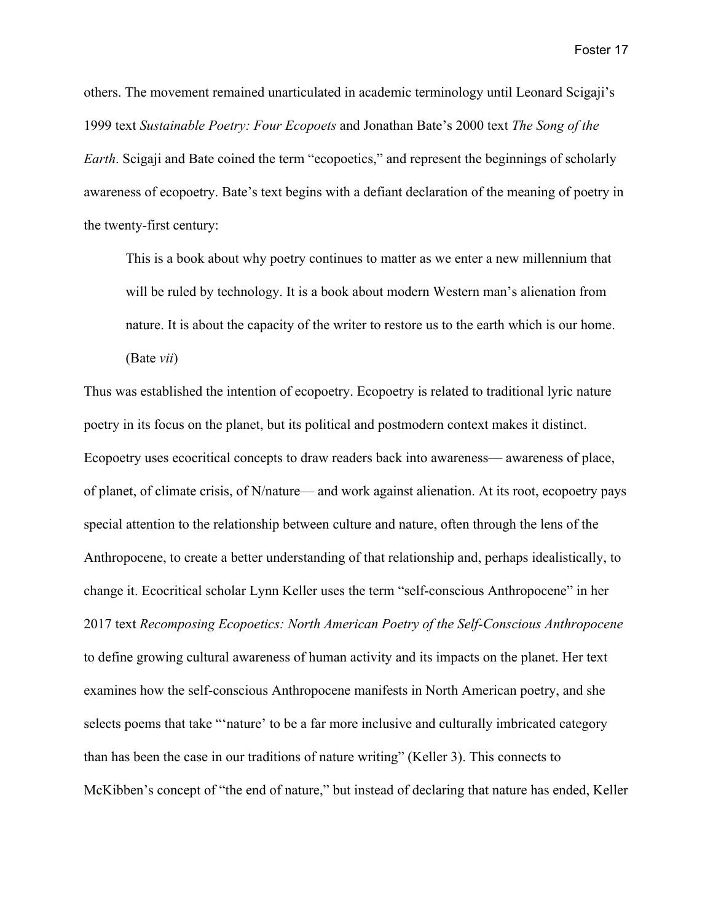others. The movement remained unarticulated in academic terminology until Leonard Scigaji's 1999 text *Sustainable Poetry: Four Ecopoets* and Jonathan Bate's 2000 text *The Song of the Earth*. Scigaji and Bate coined the term "ecopoetics," and represent the beginnings of scholarly awareness of ecopoetry. Bate's text begins with a defiant declaration of the meaning of poetry in the twenty-first century:

This is a book about why poetry continues to matter as we enter a new millennium that will be ruled by technology. It is a book about modern Western man's alienation from nature. It is about the capacity of the writer to restore us to the earth which is our home. (Bate *vii*)

Thus was established the intention of ecopoetry. Ecopoetry is related to traditional lyric nature poetry in its focus on the planet, but its political and postmodern context makes it distinct. Ecopoetry uses ecocritical concepts to draw readers back into awareness— awareness of place, of planet, of climate crisis, of N/nature— and work against alienation. At its root, ecopoetry pays special attention to the relationship between culture and nature, often through the lens of the Anthropocene, to create a better understanding of that relationship and, perhaps idealistically, to change it. Ecocritical scholar Lynn Keller uses the term "self-conscious Anthropocene" in her 2017 text *Recomposing Ecopoetics: North American Poetry of the Self-Conscious Anthropocene* to define growing cultural awareness of human activity and its impacts on the planet. Her text examines how the self-conscious Anthropocene manifests in North American poetry, and she selects poems that take "'nature' to be a far more inclusive and culturally imbricated category than has been the case in our traditions of nature writing" (Keller 3). This connects to McKibben's concept of "the end of nature," but instead of declaring that nature has ended, Keller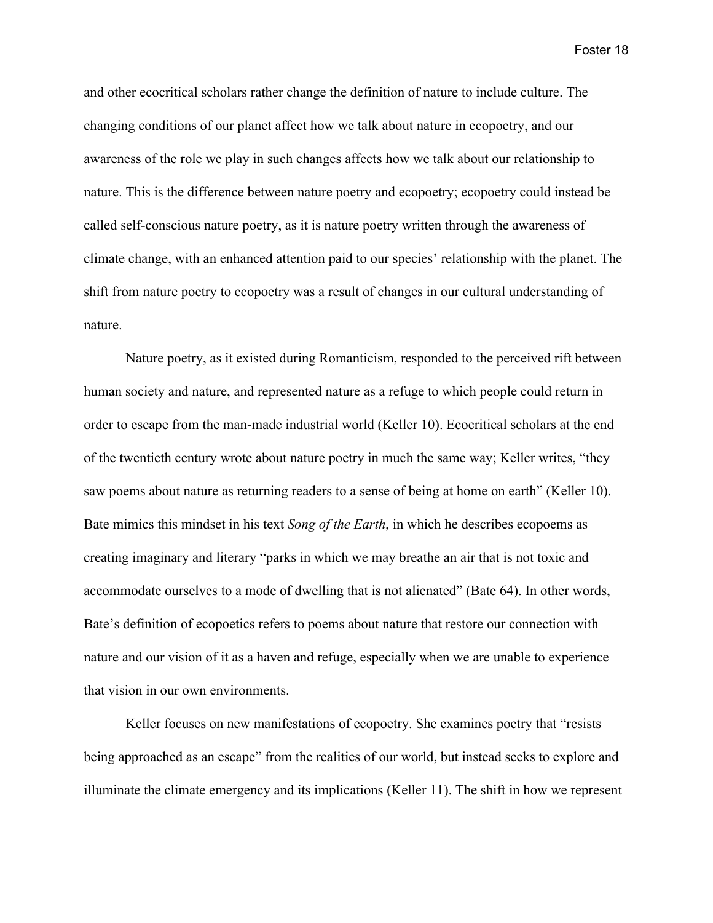and other ecocritical scholars rather change the definition of nature to include culture. The changing conditions of our planet affect how we talk about nature in ecopoetry, and our awareness of the role we play in such changes affects how we talk about our relationship to nature. This is the difference between nature poetry and ecopoetry; ecopoetry could instead be called self-conscious nature poetry, as it is nature poetry written through the awareness of climate change, with an enhanced attention paid to our species' relationship with the planet. The shift from nature poetry to ecopoetry was a result of changes in our cultural understanding of nature.

Nature poetry, as it existed during Romanticism, responded to the perceived rift between human society and nature, and represented nature as a refuge to which people could return in order to escape from the man-made industrial world (Keller 10). Ecocritical scholars at the end of the twentieth century wrote about nature poetry in much the same way; Keller writes, "they saw poems about nature as returning readers to a sense of being at home on earth" (Keller 10). Bate mimics this mindset in his text *Song of the Earth*, in which he describes ecopoems as creating imaginary and literary "parks in which we may breathe an air that is not toxic and accommodate ourselves to a mode of dwelling that is not alienated" (Bate 64). In other words, Bate's definition of ecopoetics refers to poems about nature that restore our connection with nature and our vision of it as a haven and refuge, especially when we are unable to experience that vision in our own environments.

Keller focuses on new manifestations of ecopoetry. She examines poetry that "resists being approached as an escape" from the realities of our world, but instead seeks to explore and illuminate the climate emergency and its implications (Keller 11). The shift in how we represent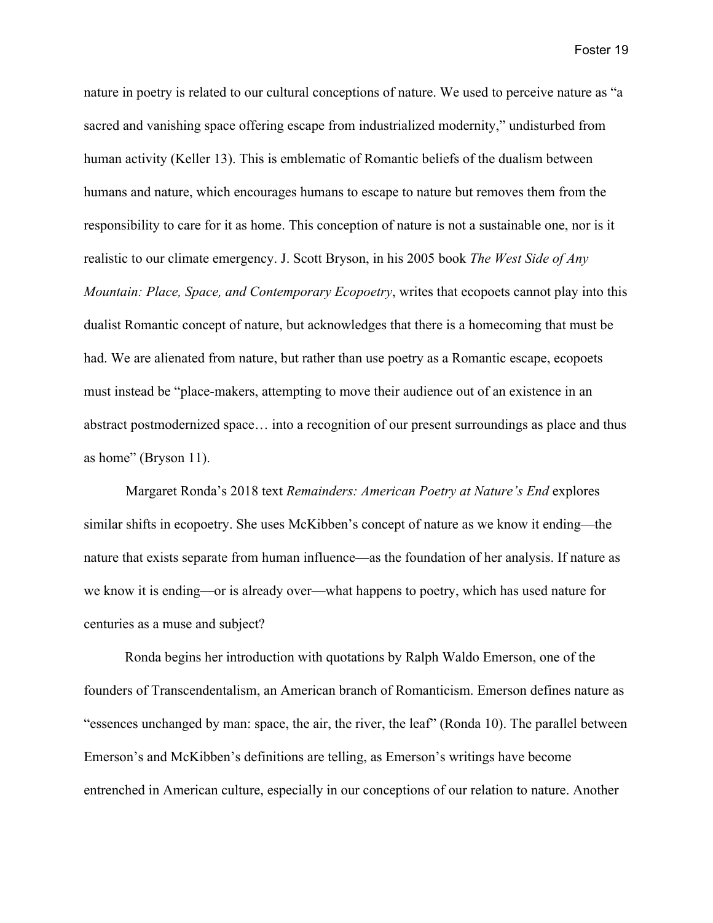nature in poetry is related to our cultural conceptions of nature. We used to perceive nature as "a sacred and vanishing space offering escape from industrialized modernity," undisturbed from human activity (Keller 13). This is emblematic of Romantic beliefs of the dualism between humans and nature, which encourages humans to escape to nature but removes them from the responsibility to care for it as home. This conception of nature is not a sustainable one, nor is it realistic to our climate emergency. J. Scott Bryson, in his 2005 book *The West Side of Any Mountain: Place, Space, and Contemporary Ecopoetry*, writes that ecopoets cannot play into this dualist Romantic concept of nature, but acknowledges that there is a homecoming that must be had. We are alienated from nature, but rather than use poetry as a Romantic escape, ecopoets must instead be "place-makers, attempting to move their audience out of an existence in an abstract postmodernized space… into a recognition of our present surroundings as place and thus as home" (Bryson 11).

Margaret Ronda's 2018 text *Remainders: American Poetry at Nature's End* explores similar shifts in ecopoetry. She uses McKibben's concept of nature as we know it ending—the nature that exists separate from human influence—as the foundation of her analysis. If nature as we know it is ending—or is already over—what happens to poetry, which has used nature for centuries as a muse and subject?

Ronda begins her introduction with quotations by Ralph Waldo Emerson, one of the founders of Transcendentalism, an American branch of Romanticism. Emerson defines nature as "essences unchanged by man: space, the air, the river, the leaf" (Ronda 10). The parallel between Emerson's and McKibben's definitions are telling, as Emerson's writings have become entrenched in American culture, especially in our conceptions of our relation to nature. Another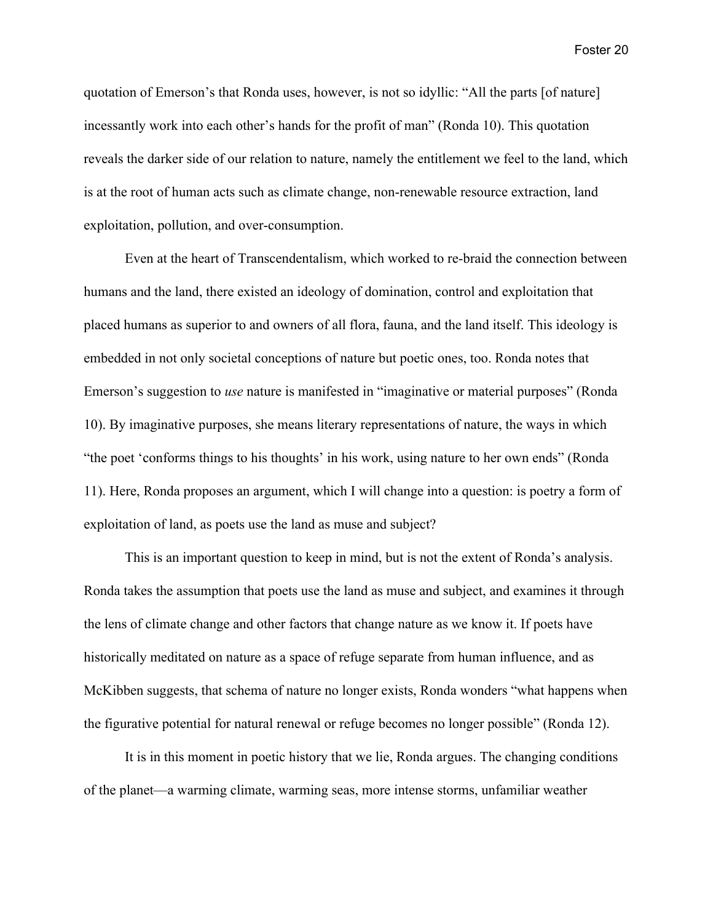quotation of Emerson's that Ronda uses, however, is not so idyllic: "All the parts [of nature] incessantly work into each other's hands for the profit of man" (Ronda 10). This quotation reveals the darker side of our relation to nature, namely the entitlement we feel to the land, which is at the root of human acts such as climate change, non-renewable resource extraction, land exploitation, pollution, and over-consumption.

Even at the heart of Transcendentalism, which worked to re-braid the connection between humans and the land, there existed an ideology of domination, control and exploitation that placed humans as superior to and owners of all flora, fauna, and the land itself. This ideology is embedded in not only societal conceptions of nature but poetic ones, too. Ronda notes that Emerson's suggestion to *use* nature is manifested in "imaginative or material purposes" (Ronda 10). By imaginative purposes, she means literary representations of nature, the ways in which "the poet 'conforms things to his thoughts' in his work, using nature to her own ends" (Ronda 11). Here, Ronda proposes an argument, which I will change into a question: is poetry a form of exploitation of land, as poets use the land as muse and subject?

This is an important question to keep in mind, but is not the extent of Ronda's analysis. Ronda takes the assumption that poets use the land as muse and subject, and examines it through the lens of climate change and other factors that change nature as we know it. If poets have historically meditated on nature as a space of refuge separate from human influence, and as McKibben suggests, that schema of nature no longer exists, Ronda wonders "what happens when the figurative potential for natural renewal or refuge becomes no longer possible" (Ronda 12).

It is in this moment in poetic history that we lie, Ronda argues. The changing conditions of the planet—a warming climate, warming seas, more intense storms, unfamiliar weather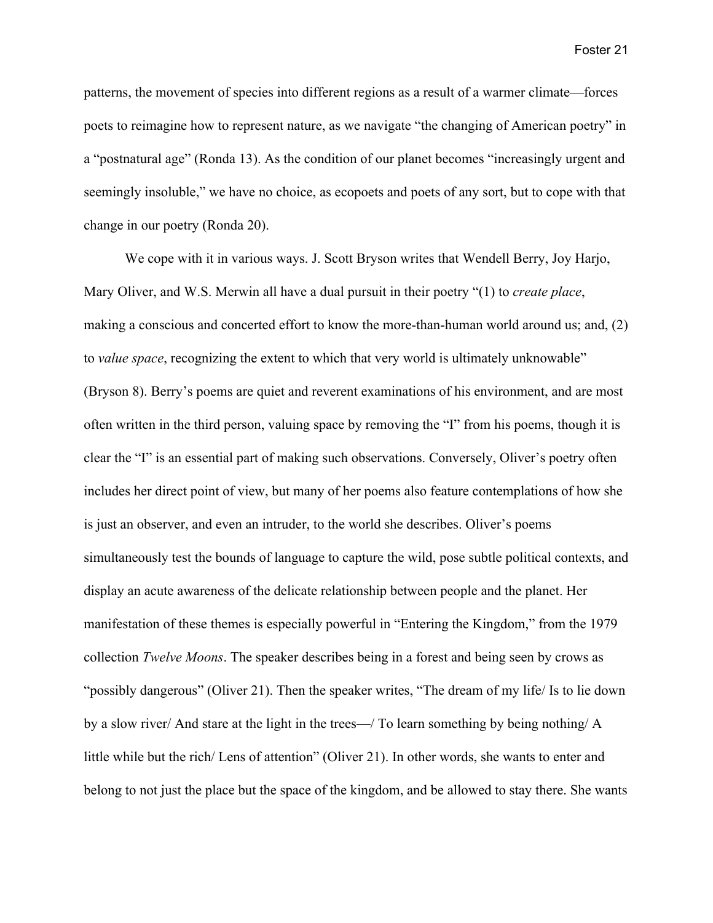patterns, the movement of species into different regions as a result of a warmer climate—forces poets to reimagine how to represent nature, as we navigate "the changing of American poetry" in a "postnatural age" (Ronda 13). As the condition of our planet becomes "increasingly urgent and seemingly insoluble," we have no choice, as ecopoets and poets of any sort, but to cope with that change in our poetry (Ronda 20).

We cope with it in various ways. J. Scott Bryson writes that Wendell Berry, Joy Harjo, Mary Oliver, and W.S. Merwin all have a dual pursuit in their poetry "(1) to *create place*, making a conscious and concerted effort to know the more-than-human world around us; and, (2) to *value space*, recognizing the extent to which that very world is ultimately unknowable" (Bryson 8). Berry's poems are quiet and reverent examinations of his environment, and are most often written in the third person, valuing space by removing the "I" from his poems, though it is clear the "I" is an essential part of making such observations. Conversely, Oliver's poetry often includes her direct point of view, but many of her poems also feature contemplations of how she is just an observer, and even an intruder, to the world she describes. Oliver's poems simultaneously test the bounds of language to capture the wild, pose subtle political contexts, and display an acute awareness of the delicate relationship between people and the planet. Her manifestation of these themes is especially powerful in "Entering the Kingdom," from the 1979 collection *Twelve Moons*. The speaker describes being in a forest and being seen by crows as "possibly dangerous" (Oliver 21). Then the speaker writes, "The dream of my life/ Is to lie down by a slow river/ And stare at the light in the trees—/ To learn something by being nothing/ A little while but the rich/ Lens of attention" (Oliver 21). In other words, she wants to enter and belong to not just the place but the space of the kingdom, and be allowed to stay there. She wants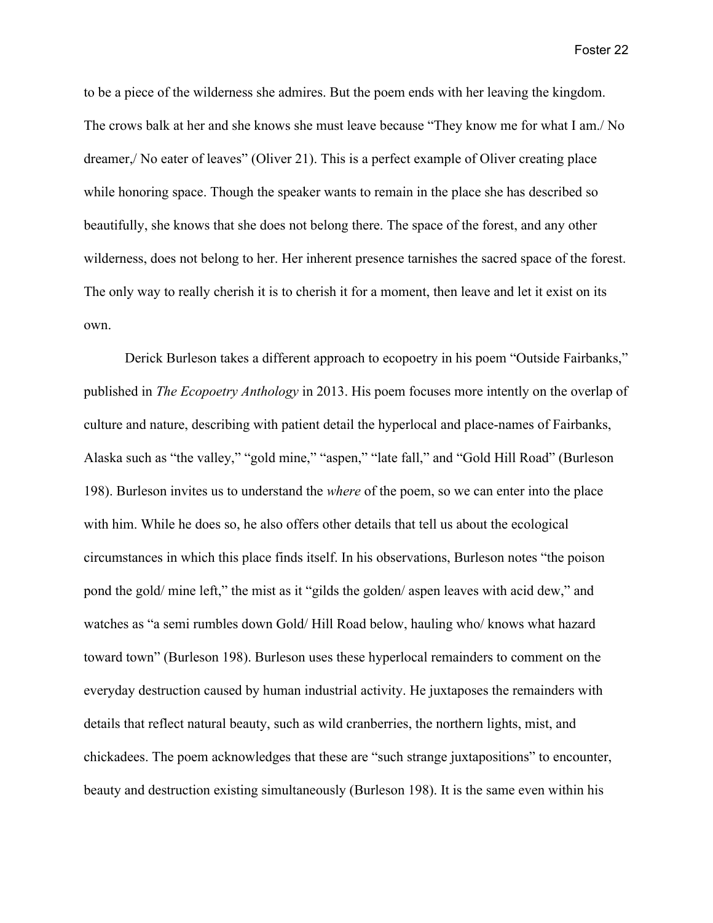to be a piece of the wilderness she admires. But the poem ends with her leaving the kingdom. The crows balk at her and she knows she must leave because "They know me for what I am./ No dreamer,/ No eater of leaves" (Oliver 21). This is a perfect example of Oliver creating place while honoring space. Though the speaker wants to remain in the place she has described so beautifully, she knows that she does not belong there. The space of the forest, and any other wilderness, does not belong to her. Her inherent presence tarnishes the sacred space of the forest. The only way to really cherish it is to cherish it for a moment, then leave and let it exist on its own.

Derick Burleson takes a different approach to ecopoetry in his poem "Outside Fairbanks," published in *The Ecopoetry Anthology* in 2013. His poem focuses more intently on the overlap of culture and nature, describing with patient detail the hyperlocal and place-names of Fairbanks, Alaska such as "the valley," "gold mine," "aspen," "late fall," and "Gold Hill Road" (Burleson 198). Burleson invites us to understand the *where* of the poem, so we can enter into the place with him. While he does so, he also offers other details that tell us about the ecological circumstances in which this place finds itself. In his observations, Burleson notes "the poison pond the gold/ mine left," the mist as it "gilds the golden/ aspen leaves with acid dew," and watches as "a semi rumbles down Gold/ Hill Road below, hauling who/ knows what hazard toward town" (Burleson 198). Burleson uses these hyperlocal remainders to comment on the everyday destruction caused by human industrial activity. He juxtaposes the remainders with details that reflect natural beauty, such as wild cranberries, the northern lights, mist, and chickadees. The poem acknowledges that these are "such strange juxtapositions" to encounter, beauty and destruction existing simultaneously (Burleson 198). It is the same even within his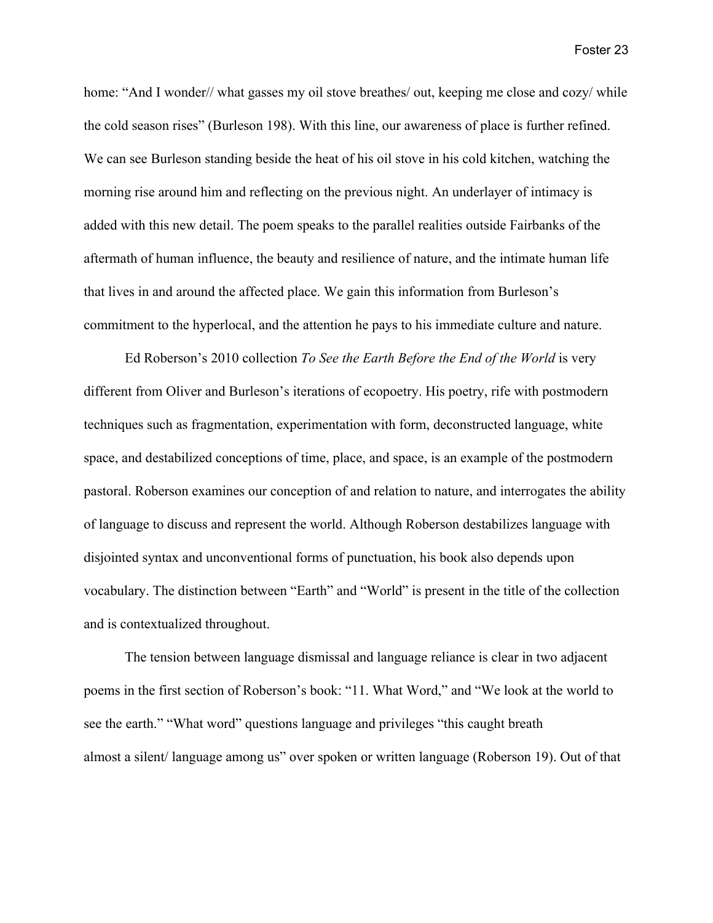home: "And I wonder // what gasses my oil stove breathes / out, keeping me close and cozy / while the cold season rises" (Burleson 198). With this line, our awareness of place is further refined. We can see Burleson standing beside the heat of his oil stove in his cold kitchen, watching the morning rise around him and reflecting on the previous night. An underlayer of intimacy is added with this new detail. The poem speaks to the parallel realities outside Fairbanks of the aftermath of human influence, the beauty and resilience of nature, and the intimate human life that lives in and around the affected place. We gain this information from Burleson's commitment to the hyperlocal, and the attention he pays to his immediate culture and nature.

Ed Roberson's 2010 collection *To See the Earth Before the End of the World* is very different from Oliver and Burleson's iterations of ecopoetry. His poetry, rife with postmodern techniques such as fragmentation, experimentation with form, deconstructed language, white space, and destabilized conceptions of time, place, and space, is an example of the postmodern pastoral. Roberson examines our conception of and relation to nature, and interrogates the ability of language to discuss and represent the world. Although Roberson destabilizes language with disjointed syntax and unconventional forms of punctuation, his book also depends upon vocabulary. The distinction between "Earth" and "World" is present in the title of the collection and is contextualized throughout.

The tension between language dismissal and language reliance is clear in two adjacent poems in the first section of Roberson's book: "11. What Word," and "We look at the world to see the earth." "What word" questions language and privileges "this caught breath almost a silent/ language among us" over spoken or written language (Roberson 19). Out of that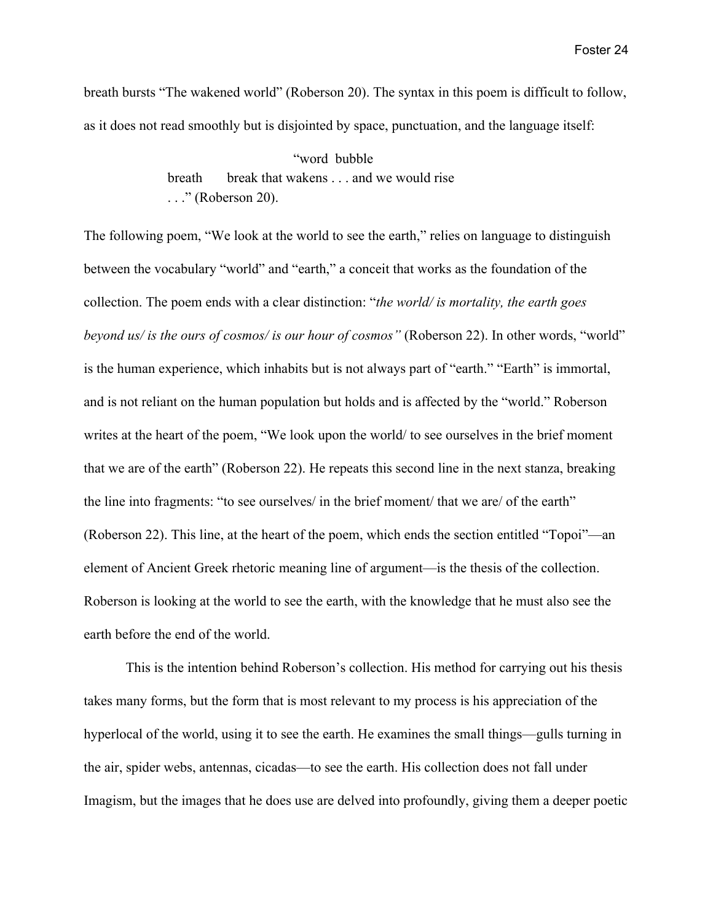breath bursts "The wakened world" (Roberson 20). The syntax in this poem is difficult to follow, as it does not read smoothly but is disjointed by space, punctuation, and the language itself:

> "word bubble breath break that wakens . . . and we would rise . . ." (Roberson 20).

The following poem, "We look at the world to see the earth," relies on language to distinguish between the vocabulary "world" and "earth," a conceit that works as the foundation of the collection. The poem ends with a clear distinction: "*the world/ is mortality, the earth goes beyond us/ is the ours of cosmos/ is our hour of cosmos"* (Roberson 22). In other words, "world" is the human experience, which inhabits but is not always part of "earth." "Earth" is immortal, and is not reliant on the human population but holds and is affected by the "world." Roberson writes at the heart of the poem, "We look upon the world/ to see ourselves in the brief moment that we are of the earth" (Roberson 22). He repeats this second line in the next stanza, breaking the line into fragments: "to see ourselves/ in the brief moment/ that we are/ of the earth" (Roberson 22). This line, at the heart of the poem, which ends the section entitled "Topoi"—an element of Ancient Greek rhetoric meaning line of argument—is the thesis of the collection. Roberson is looking at the world to see the earth, with the knowledge that he must also see the earth before the end of the world.

This is the intention behind Roberson's collection. His method for carrying out his thesis takes many forms, but the form that is most relevant to my process is his appreciation of the hyperlocal of the world, using it to see the earth. He examines the small things—gulls turning in the air, spider webs, antennas, cicadas—to see the earth. His collection does not fall under Imagism, but the images that he does use are delved into profoundly, giving them a deeper poetic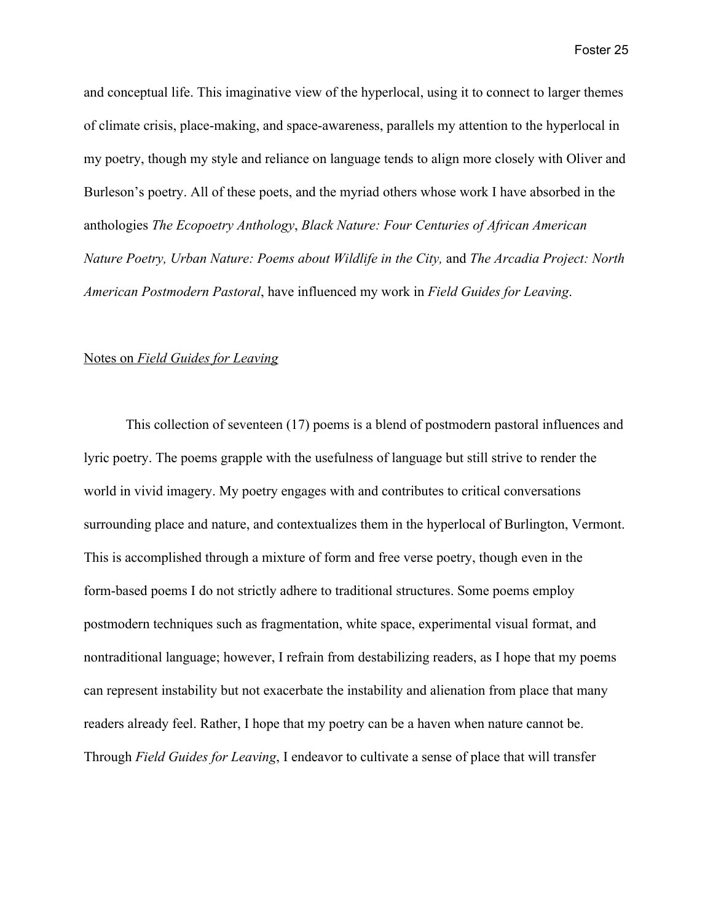and conceptual life. This imaginative view of the hyperlocal, using it to connect to larger themes of climate crisis, place-making, and space-awareness, parallels my attention to the hyperlocal in my poetry, though my style and reliance on language tends to align more closely with Oliver and Burleson's poetry. All of these poets, and the myriad others whose work I have absorbed in the anthologies *The Ecopoetry Anthology*, *Black Nature: Four Centuries of African American Nature Poetry, Urban Nature: Poems about Wildlife in the City,* and *The Arcadia Project: North American Postmodern Pastoral*, have influenced my work in *Field Guides for Leaving*.

#### Notes on *Field Guides for Leaving*

This collection of seventeen (17) poems is a blend of postmodern pastoral influences and lyric poetry. The poems grapple with the usefulness of language but still strive to render the world in vivid imagery. My poetry engages with and contributes to critical conversations surrounding place and nature, and contextualizes them in the hyperlocal of Burlington, Vermont. This is accomplished through a mixture of form and free verse poetry, though even in the form-based poems I do not strictly adhere to traditional structures. Some poems employ postmodern techniques such as fragmentation, white space, experimental visual format, and nontraditional language; however, I refrain from destabilizing readers, as I hope that my poems can represent instability but not exacerbate the instability and alienation from place that many readers already feel. Rather, I hope that my poetry can be a haven when nature cannot be. Through *Field Guides for Leaving*, I endeavor to cultivate a sense of place that will transfer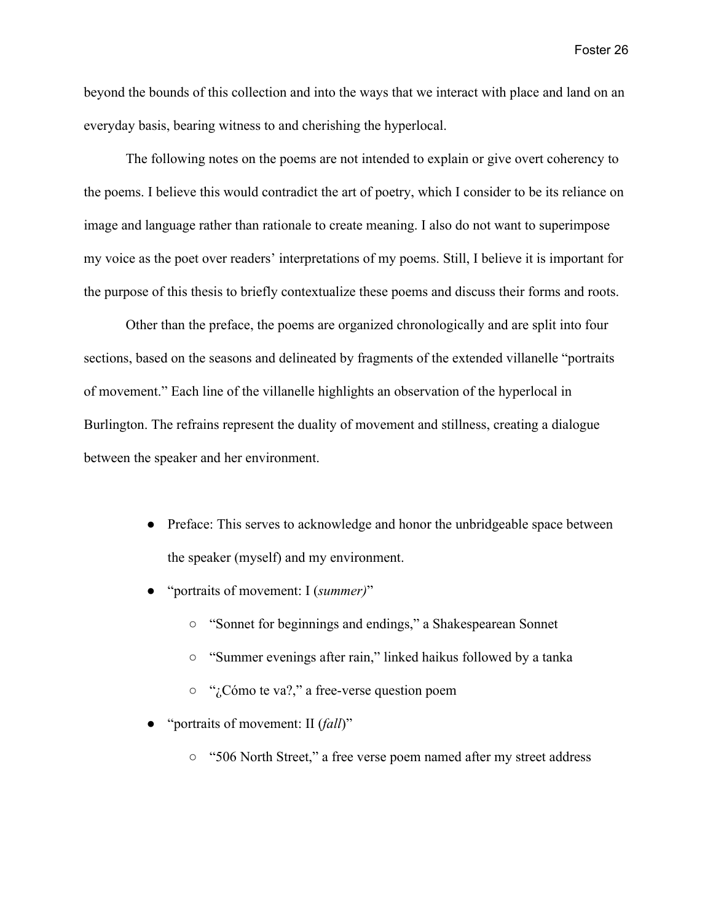beyond the bounds of this collection and into the ways that we interact with place and land on an everyday basis, bearing witness to and cherishing the hyperlocal.

The following notes on the poems are not intended to explain or give overt coherency to the poems. I believe this would contradict the art of poetry, which I consider to be its reliance on image and language rather than rationale to create meaning. I also do not want to superimpose my voice as the poet over readers' interpretations of my poems. Still, I believe it is important for the purpose of this thesis to briefly contextualize these poems and discuss their forms and roots.

Other than the preface, the poems are organized chronologically and are split into four sections, based on the seasons and delineated by fragments of the extended villanelle "portraits of movement." Each line of the villanelle highlights an observation of the hyperlocal in Burlington. The refrains represent the duality of movement and stillness, creating a dialogue between the speaker and her environment.

- Preface: This serves to acknowledge and honor the unbridgeable space between the speaker (myself) and my environment.
- "portraits of movement: I (*summer)*"
	- "Sonnet for beginnings and endings," a Shakespearean Sonnet
	- "Summer evenings after rain," linked haikus followed by a tanka
	- "¿Cómo te va?," a free-verse question poem
- "portraits of movement: II (*fall*)"
	- "506 North Street," a free verse poem named after my street address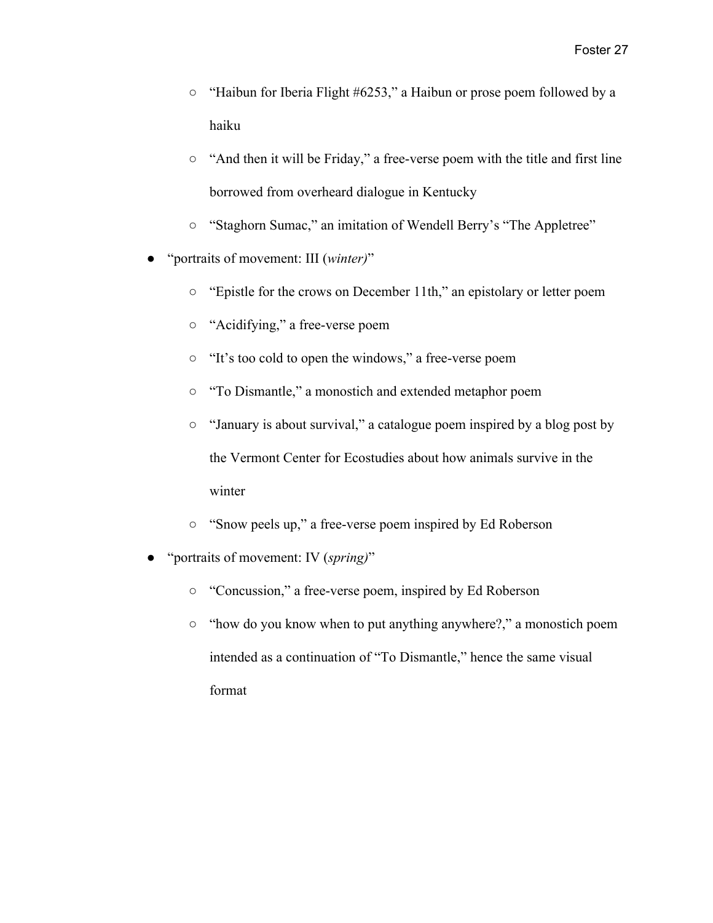- "Haibun for Iberia Flight #6253," a Haibun or prose poem followed by a haiku
- "And then it will be Friday," a free-verse poem with the title and first line borrowed from overheard dialogue in Kentucky
- "Staghorn Sumac," an imitation of Wendell Berry's "The Appletree"
- "portraits of movement: III (*winter)*"
	- "Epistle for the crows on December 11th," an epistolary or letter poem
	- "Acidifying," a free-verse poem
	- "It's too cold to open the windows," a free-verse poem
	- "To Dismantle," a monostich and extended metaphor poem
	- "January is about survival," a catalogue poem inspired by a blog post by the Vermont Center for Ecostudies about how animals survive in the winter
	- "Snow peels up," a free-verse poem inspired by Ed Roberson
- "portraits of movement: IV (*spring*)"
	- "Concussion," a free-verse poem, inspired by Ed Roberson
	- "how do you know when to put anything anywhere?," a monostich poem intended as a continuation of "To Dismantle," hence the same visual format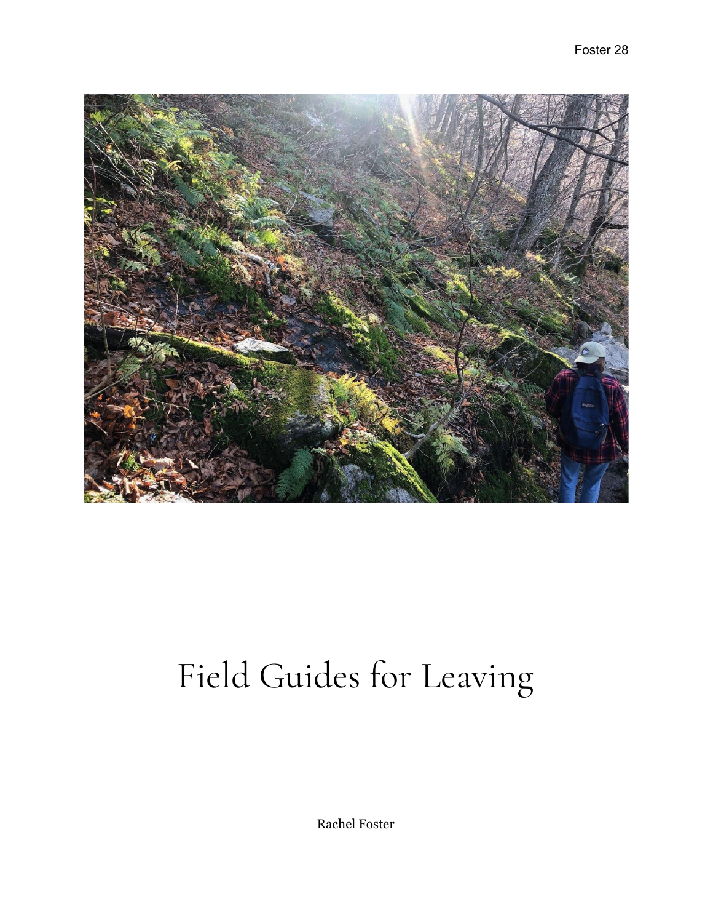

# Field Guides for Leaving

Rachel Foster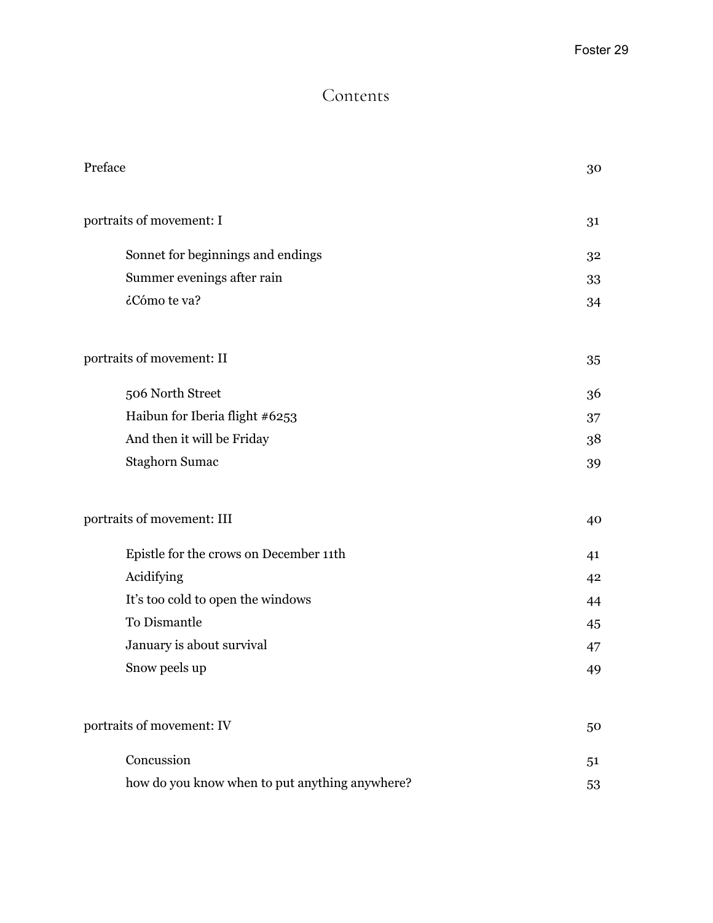## Contents

| Preface                                        | 30 |
|------------------------------------------------|----|
| portraits of movement: I                       | 31 |
| Sonnet for beginnings and endings              | 32 |
| Summer evenings after rain                     | 33 |
| ¿Cómo te va?                                   | 34 |
| portraits of movement: II                      | 35 |
| 506 North Street                               | 36 |
| Haibun for Iberia flight #6253                 | 37 |
| And then it will be Friday                     | 38 |
| <b>Staghorn Sumac</b>                          | 39 |
| portraits of movement: III                     | 40 |
| Epistle for the crows on December 11th         | 41 |
| Acidifying                                     | 42 |
| It's too cold to open the windows              | 44 |
| To Dismantle                                   | 45 |
| January is about survival                      | 47 |
| Snow peels up                                  | 49 |
| portraits of movement: IV                      | 50 |
| Concussion                                     | 51 |
| how do you know when to put anything anywhere? | 53 |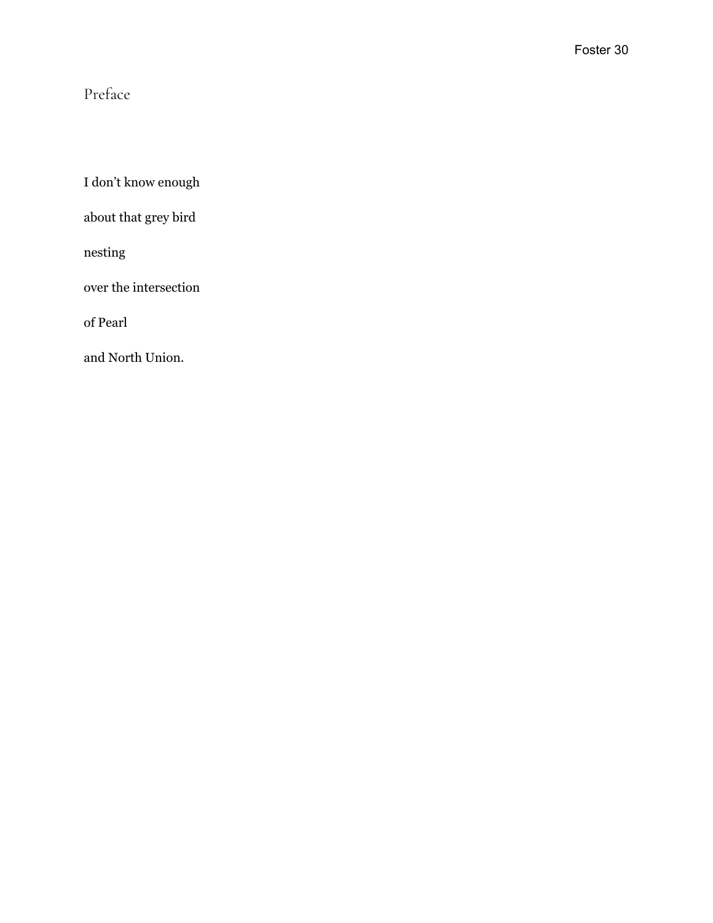## Preface

I don't know enough

about that grey bird

nesting

over the intersection

of Pearl

and North Union.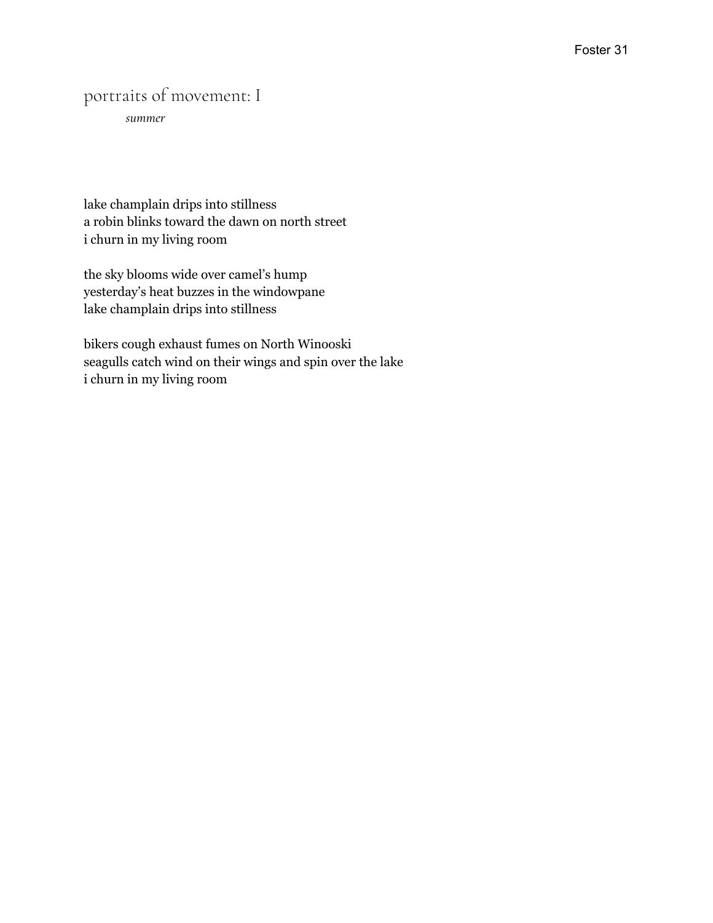## portraits of movement: I

*summer*

lake champlain drips into stillness a robin blinks toward the dawn on north street i churn in my living room

the sky blooms wide over camel's hump yesterday's heat buzzes in the windowpane lake champlain drips into stillness

bikers cough exhaust fumes on North Winooski seagulls catch wind on their wings and spin over the lake i churn in my living room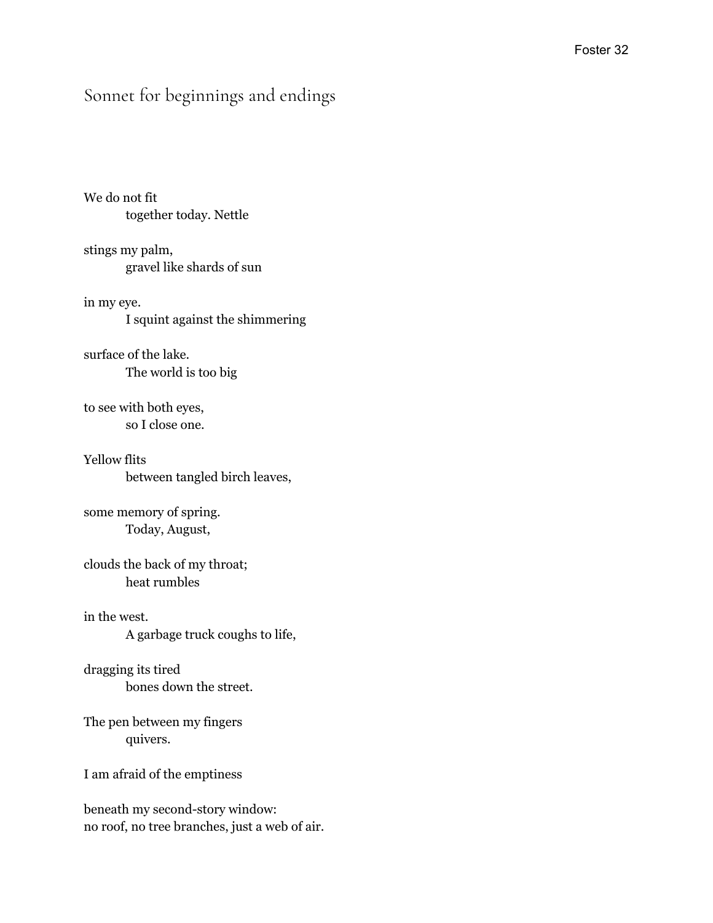## Sonnet for beginnings and endings

We do not fit together today. Nettle

stings my palm, gravel like shards of sun

in my eye. I squint against the shimmering

surface of the lake. The world is too big

to see with both eyes, so I close one.

Yellow flits between tangled birch leaves,

some memory of spring. Today, August,

clouds the back of my throat; heat rumbles

in the west. A garbage truck coughs to life,

dragging its tired bones down the street.

The pen between my fingers quivers.

I am afraid of the emptiness

beneath my second-story window: no roof, no tree branches, just a web of air.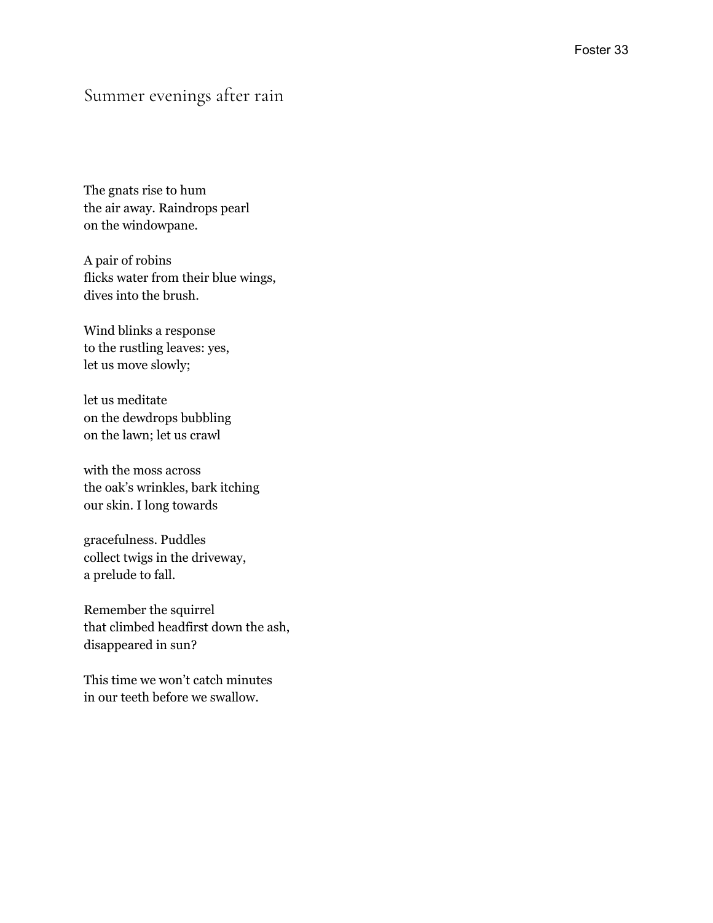#### Summer evenings after rain

The gnats rise to hum the air away. Raindrops pearl on the windowpane.

A pair of robins flicks water from their blue wings, dives into the brush.

Wind blinks a response to the rustling leaves: yes, let us move slowly;

let us meditate on the dewdrops bubbling on the lawn; let us crawl

with the moss across the oak's wrinkles, bark itching our skin. I long towards

gracefulness. Puddles collect twigs in the driveway, a prelude to fall.

Remember the squirrel that climbed headfirst down the ash, disappeared in sun?

This time we won't catch minutes in our teeth before we swallow.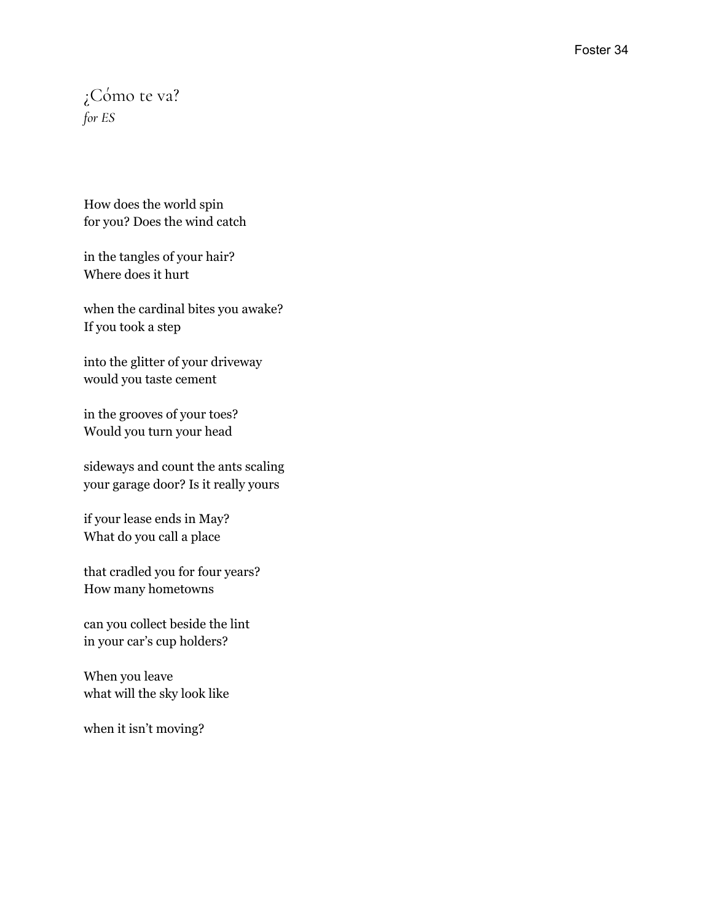## ¿Cómo te va? *for ES*

How does the world spin for you? Does the wind catch

in the tangles of your hair? Where does it hurt

when the cardinal bites you awake? If you took a step

into the glitter of your driveway would you taste cement

in the grooves of your toes? Would you turn your head

sideways and count the ants scaling your garage door? Is it really yours

if your lease ends in May? What do you call a place

that cradled you for four years? How many hometowns

can you collect beside the lint in your car's cup holders?

When you leave what will the sky look like

when it isn't moving?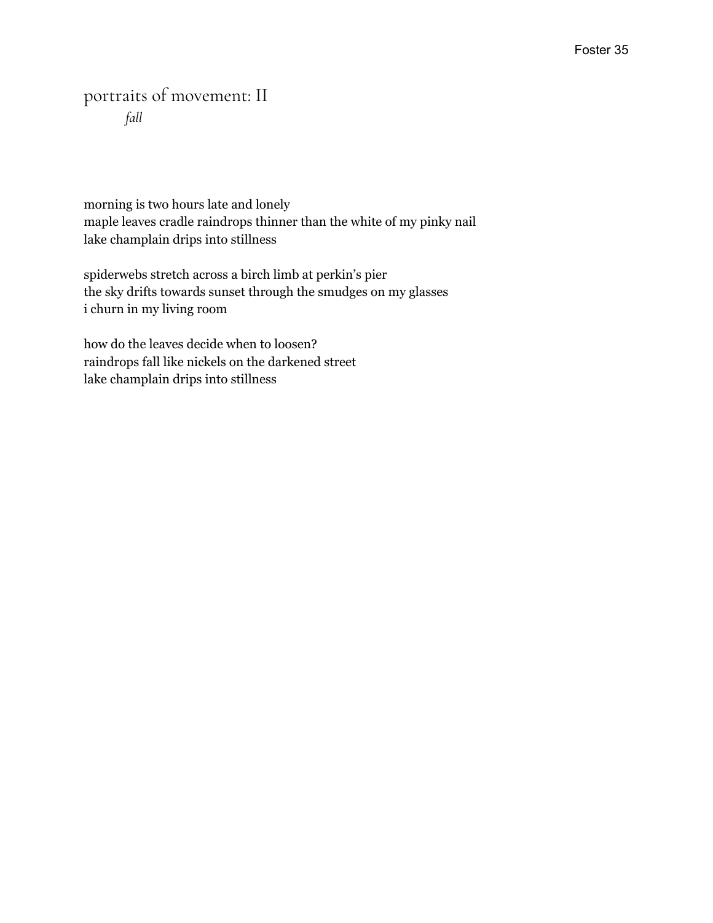## portraits of movement: II *fall*

morning is two hours late and lonely maple leaves cradle raindrops thinner than the white of my pinky nail lake champlain drips into stillness

spiderwebs stretch across a birch limb at perkin's pier the sky drifts towards sunset through the smudges on my glasses i churn in my living room

how do the leaves decide when to loosen? raindrops fall like nickels on the darkened street lake champlain drips into stillness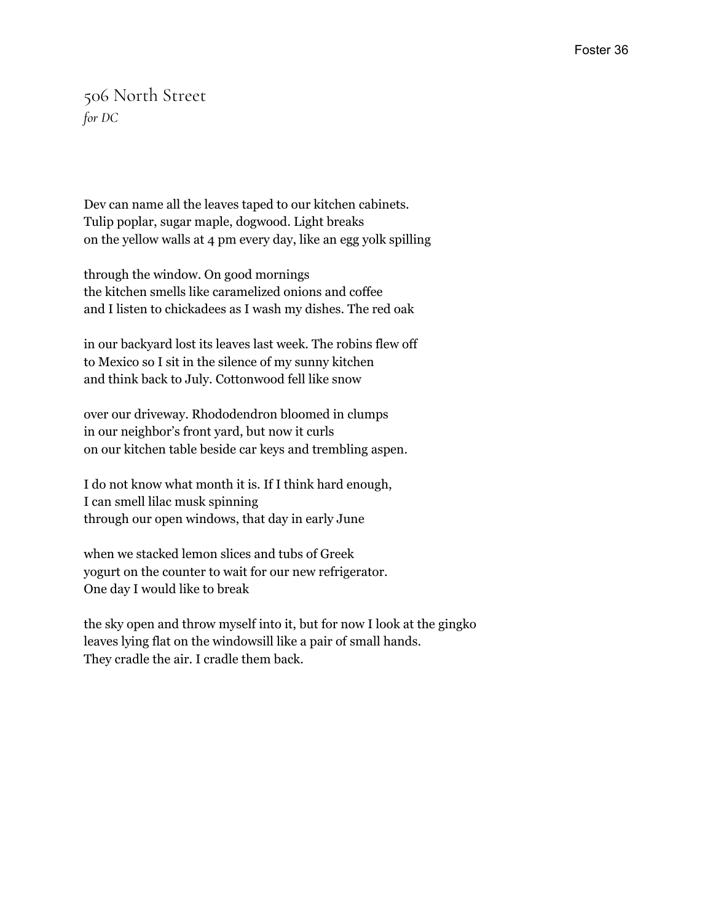## 506 North Street *for DC*

Dev can name all the leaves taped to our kitchen cabinets. Tulip poplar, sugar maple, dogwood. Light breaks on the yellow walls at 4 pm every day, like an egg yolk spilling

through the window. On good mornings the kitchen smells like caramelized onions and coffee and I listen to chickadees as I wash my dishes. The red oak

in our backyard lost its leaves last week. The robins flew off to Mexico so I sit in the silence of my sunny kitchen and think back to July. Cottonwood fell like snow

over our driveway. Rhododendron bloomed in clumps in our neighbor's front yard, but now it curls on our kitchen table beside car keys and trembling aspen.

I do not know what month it is. If I think hard enough, I can smell lilac musk spinning through our open windows, that day in early June

when we stacked lemon slices and tubs of Greek yogurt on the counter to wait for our new refrigerator. One day I would like to break

the sky open and throw myself into it, but for now I look at the gingko leaves lying flat on the windowsill like a pair of small hands. They cradle the air. I cradle them back.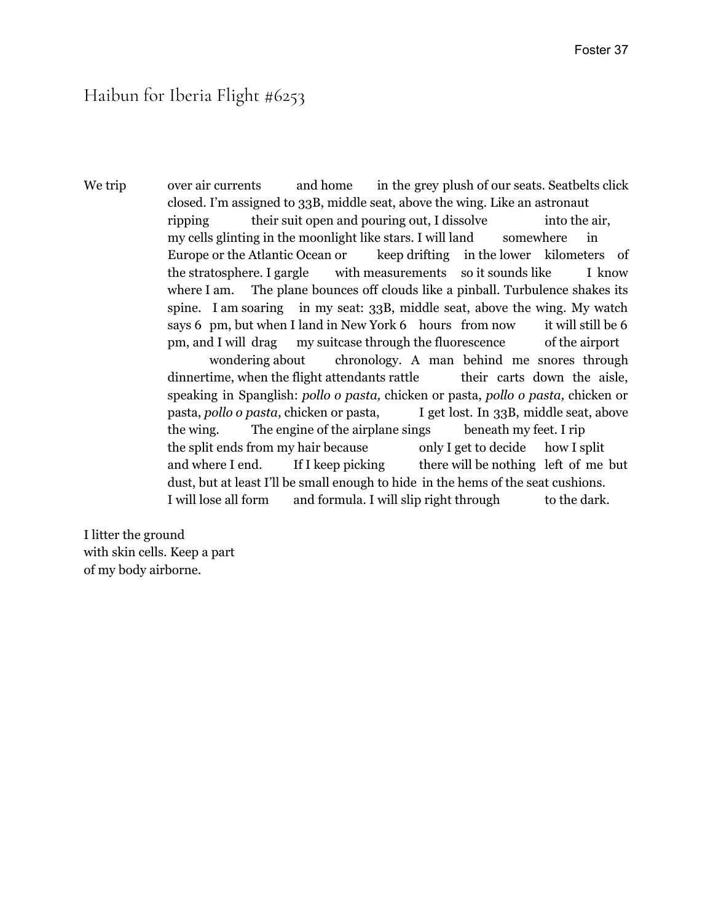### Haibun for Iberia Flight #6253

We trip over air currents and home in the grey plush of our seats. Seatbelts click closed. I'm assigned to 33B, middle seat, above the wing. Like an astronaut ripping their suit open and pouring out, I dissolve into the air, my cells glinting in the moonlight like stars. I will land somewhere in Europe or the Atlantic Ocean or keep drifting in the lower kilometers of the stratosphere. I gargle with measurements so it sounds like I know where I am. The plane bounces off clouds like a pinball. Turbulence shakes its spine. I am soaring in my seat: 33B, middle seat, above the wing. My watch says 6 pm, but when I land in New York 6 hours from now it will still be 6 pm, and I will drag my suitcase through the fluorescence of the airport wondering about chronology. A man behind me snores through dinnertime, when the flight attendants rattle their carts down the aisle, speaking in Spanglish: *pollo o pasta,* chicken or pasta, *pollo o pasta,* chicken or pasta, *pollo o pasta*, chicken or pasta, I get lost. In 33B, middle seat, above the wing. The engine of the airplane sings beneath my feet. I rip the split ends from my hair because only I get to decide how I split and where I end. If I keep picking there will be nothing left of me but dust, but at least I'll be small enough to hide in the hems of the seat cushions. I will lose all form and formula. I will slip right through to the dark.

I litter the ground with skin cells. Keep a part of my body airborne.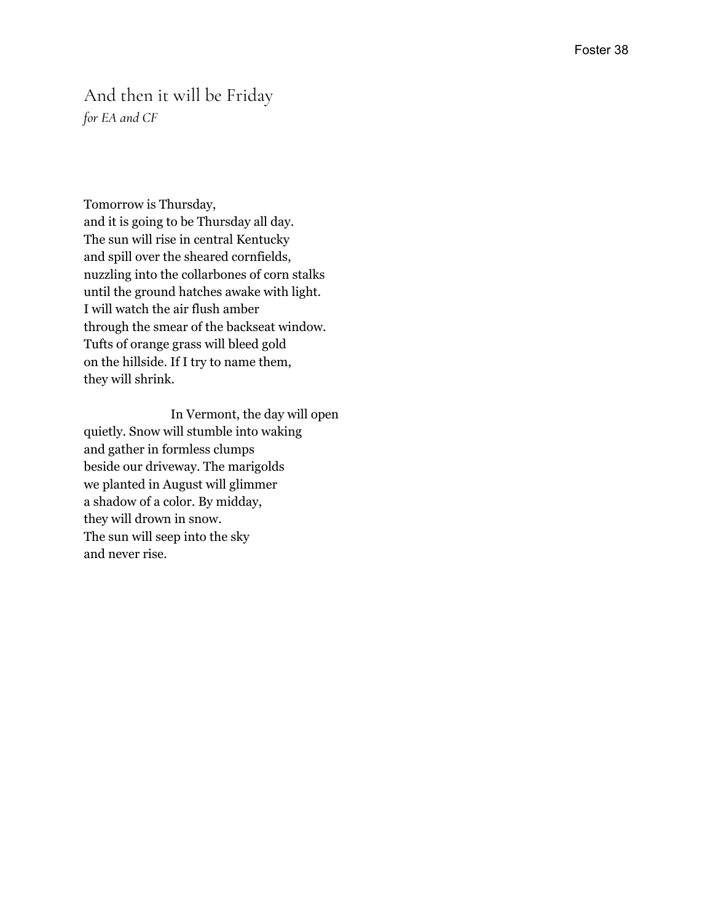#### And then it will be Friday *for EA and CF*

Tomorrow is Thursday, and it is going to be Thursday all day. The sun will rise in central Kentucky and spill over the sheared cornfields, nuzzling into the collarbones of corn stalks until the ground hatches awake with light. I will watch the air flush amber through the smear of the backseat window. Tufts of orange grass will bleed gold on the hillside. If I try to name them,<br>they will shrink. hey will shrink.

.<br>Il n Vermont, the day will open quietly. Snow will stumble into waking and gather in formless clumps beside our driveway. The marigolds we planted in August will glimmer a shadow of a color. By midday, they will drown in snow. The sun will seep into the sky and never rise.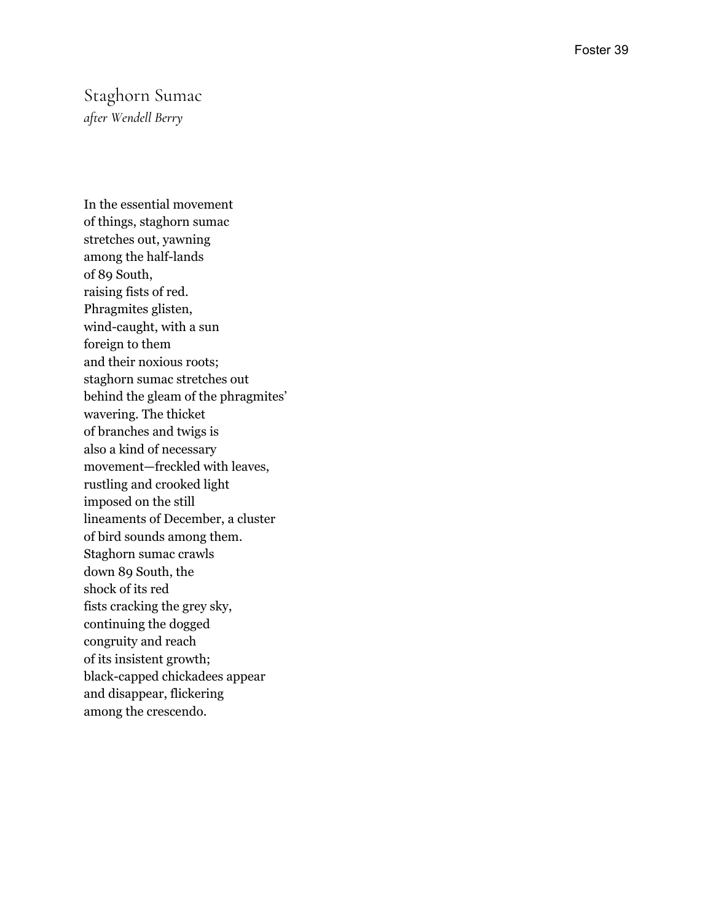#### Staghorn Sumac *after Wendell Berry*

In the essential movement of things, staghorn sumac stretches out, yawning among the half-lands of 89 South, raising fists of red. Phragmites glisten, wind-caught, with a sun foreign to them and their noxious roots; staghorn sumac stretches out behind the gleam of the phragmites' wavering. The thicket of branches and twigs is a l s o a k i n d o f n e c e s s a ry movement—freckled with leaves, rustling and crooked light imposed on the still lineaments of December, a cluster of bird sounds among them. Staghorn sumac crawls down 89 South, the s h o c k o f i t s r e d fists cracking the grey sky, continuing the dogged congruity and reach of its insistent growth; black-capped chickadees appear and disappear, flickering among the crescendo.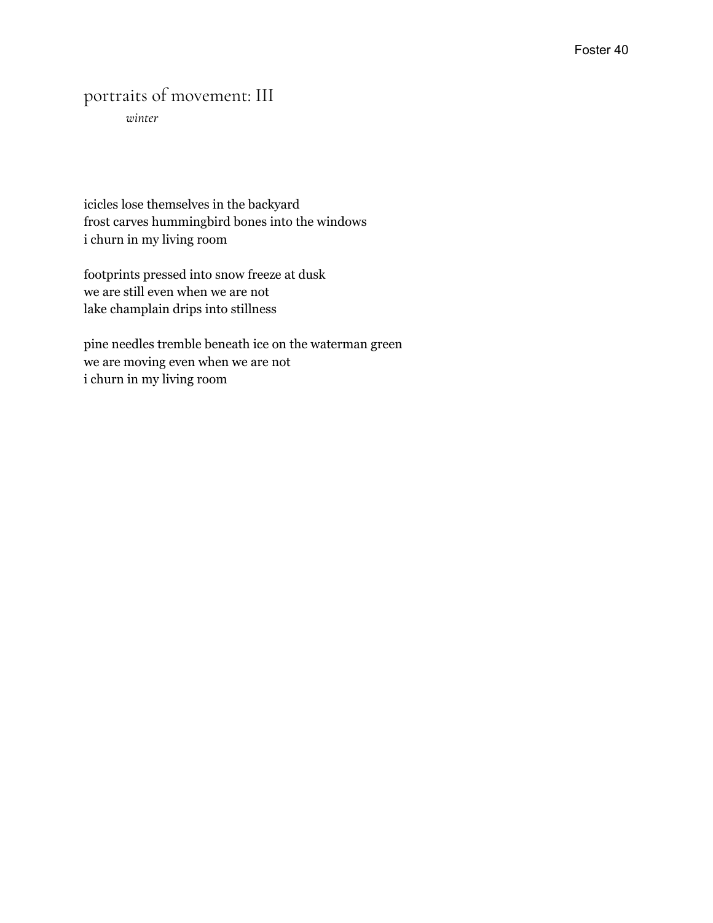## portraits of movement: III

*winter*

icicles lose themselves in the backyard frost carves hummingbird bones into the windows i churn in my living room

footprints pressed into snow freeze at dusk we are still even when we are not lake champlain drips into stillness

pine needles tremble beneath ice on the waterman green we are moving even when we are not i churn in my living room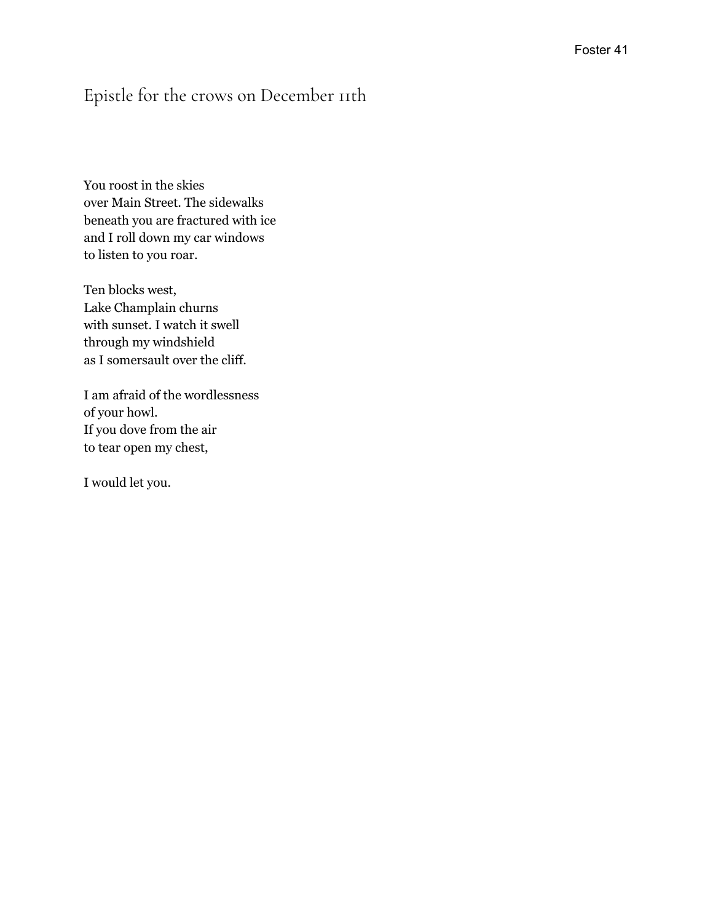## Epistle for the crows on December 11th

You roost in the skies over Main Street. The sidewalks beneath you are fractured with ice and I roll down my car windows to listen to you roar.

Ten blocks west, Lake Champlain churns with sunset. I watch it swell through my windshield as I somersault over the cliff.

I am afraid of the wordlessness of your howl. If you dove from the air to tear open my chest,

I would let you.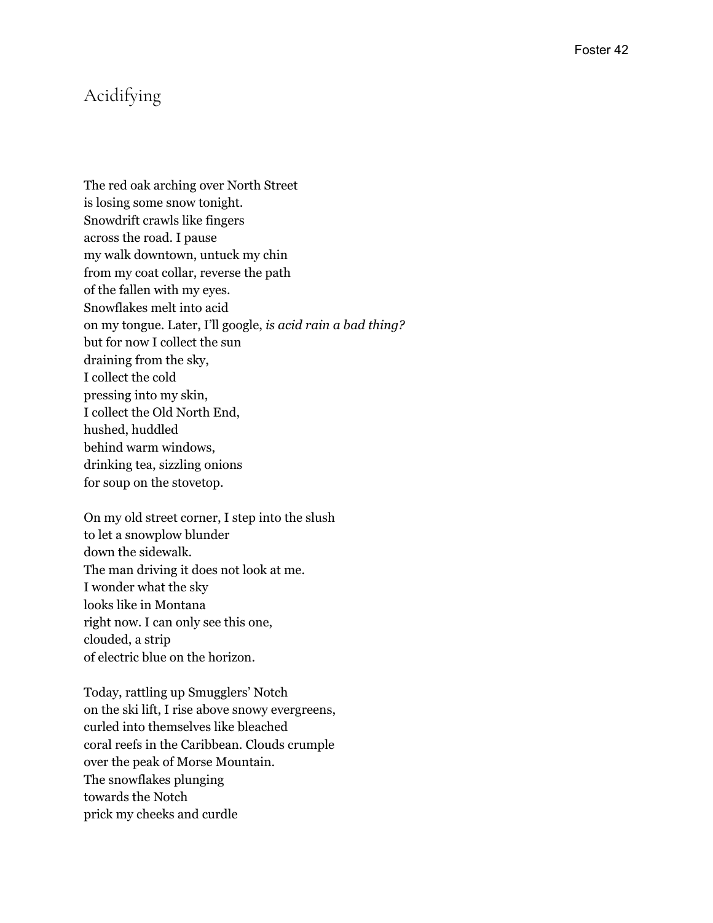## Acidifying

The red oak arching over North Street is losing some snow tonight. Snowdrift crawls like fingers across the road. I pause my walk downtown, untuck my chin from my coat collar, reverse the path of the fallen with my eyes. Snowflakes melt into acid on my tongue. Later, I'll google, *is acid rain a bad thing?* but for now I collect the sun draining from the sky, I collect the cold pressing into my skin, I collect the Old North End, hushed, huddled behind warm windows, drinking tea, sizzling onions for soup on the stovetop.

On my old street corner, I step into the slush to let a snowplow blunder down the sidewalk. The man driving it does not look at me. I wonder what the sky looks like in Montana right now. I can only see this one, clouded, a strip of electric blue on the horizon.

Today, rattling up Smugglers' Notch on the ski lift, I rise above snowy evergreens, curled into themselves like bleached coral reefs in the Caribbean. Clouds crumple over the peak of Morse Mountain. The snowflakes plunging towards the Notch prick my cheeks and curdle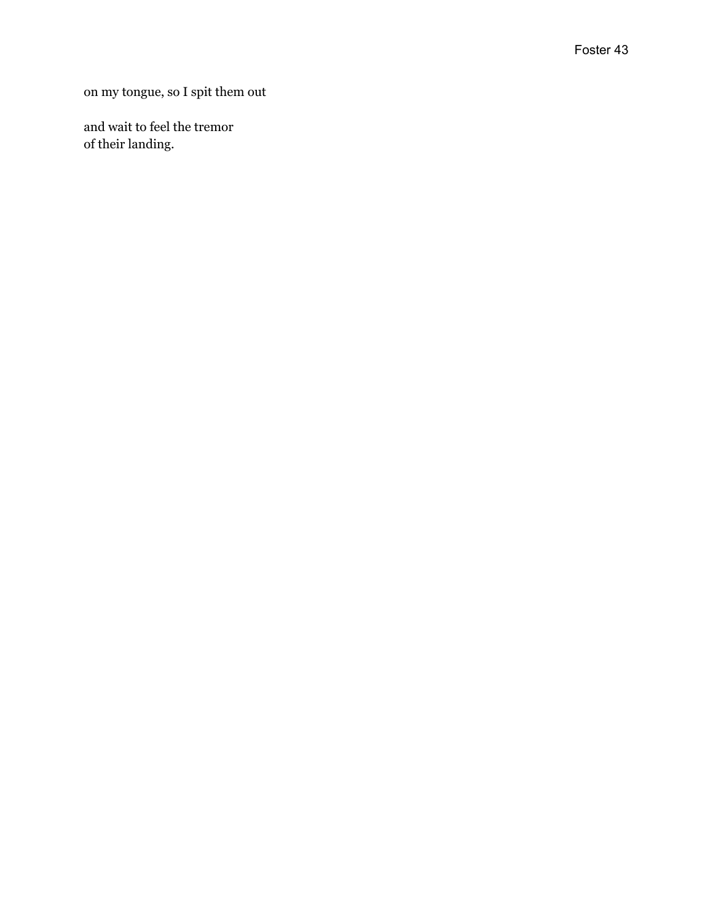on my tongue, so I spit them out

and wait to feel the tremor of their landing.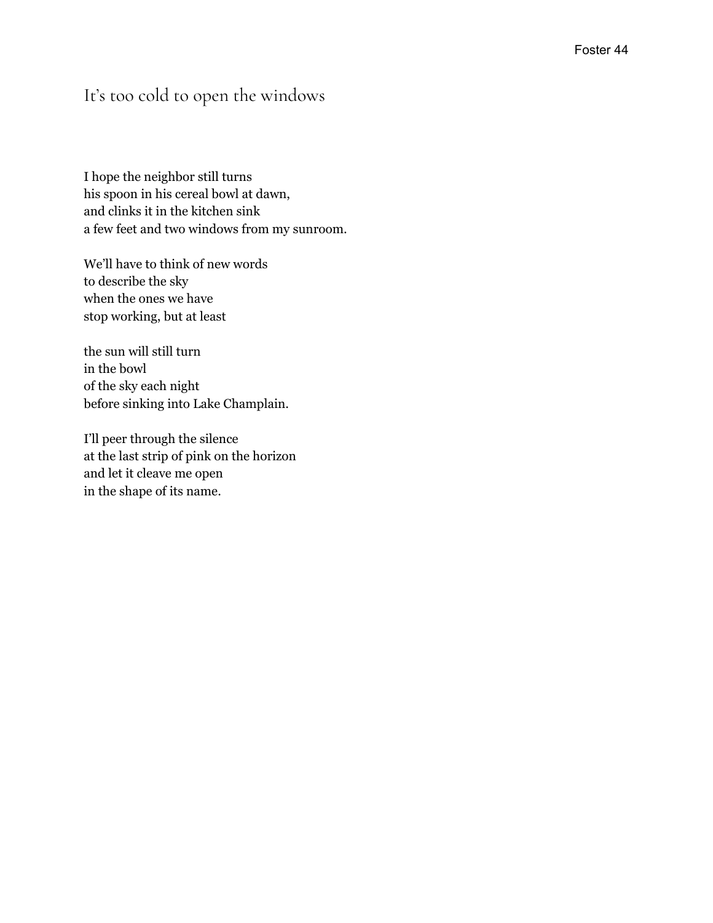## It's too cold to open the windows

I hope the neighbor still turns his spoon in his cereal bowl at dawn, and clinks it in the kitchen sink a few feet and two windows from my sunroom.

We'll have to think of new words to describe the sky when the ones we have stop working, but at least

the sun will still turn in the bowl of the sky each night before sinking into Lake Champlain.

I'll peer through the silence at the last strip of pink on the horizon and let it cleave me open in the shape of its name.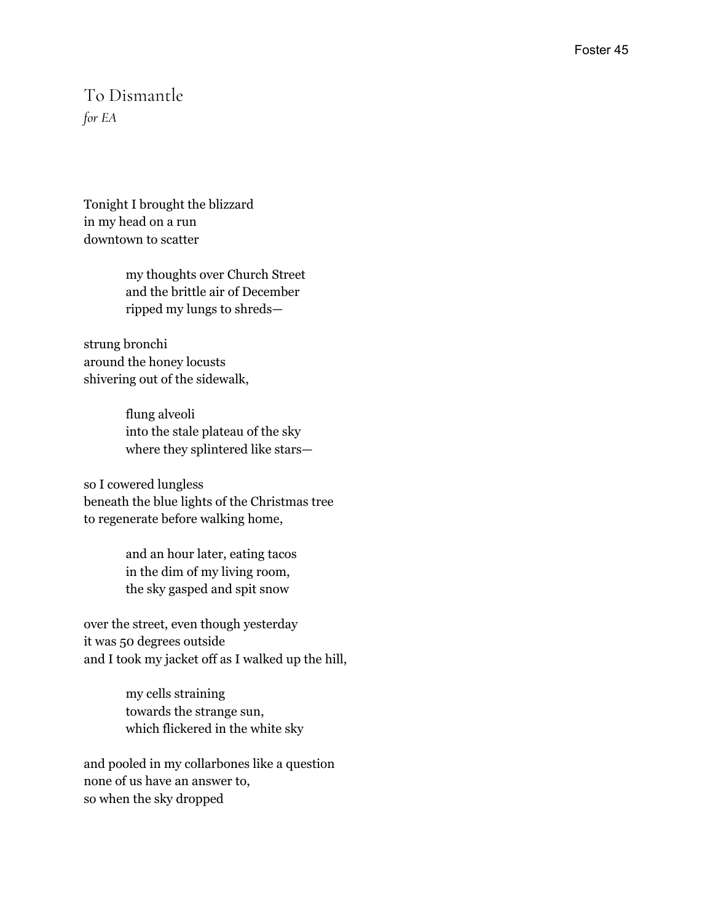#### To Dismantle *for EA*

Tonight I brought the blizzard in my head on a run downtown to scatter

> my thoughts over Church Street and the brittle air of December ripped my lungs to shreds—

strung bronchi around the honey locusts shivering out of the sidewalk,

> flung alveoli into the stale plateau of the sky where they splintered like stars—

so I cowered lungless beneath the blue lights of the Christmas tree to regenerate before walking home,

> and an hour later, eating tacos in the dim of my living room, the sky gasped and spit snow

over the street, even though yesterday it was 50 degrees outside and I took my jacket off as I walked up the hill,

> my cells straining towards the strange sun, which flickered in the white sky

and pooled in my collarbones like a question none of us have an answer to, so when the sky dropped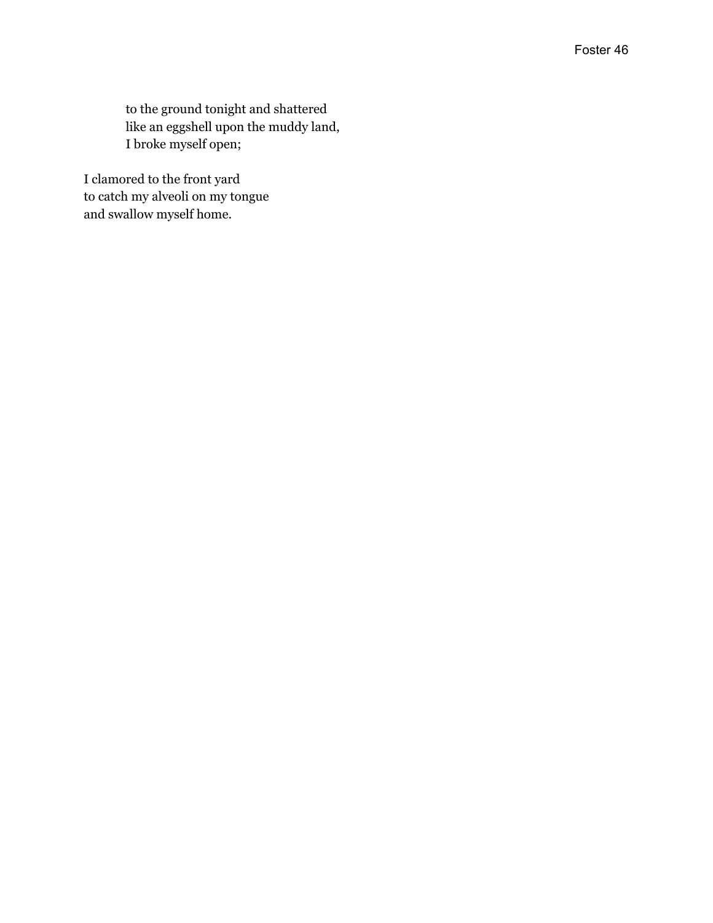to the ground tonight and shattered like an eggshell upon the muddy land, I broke myself open;

I clamored to the front yard to catch my alveoli on my tongue and swallow myself home.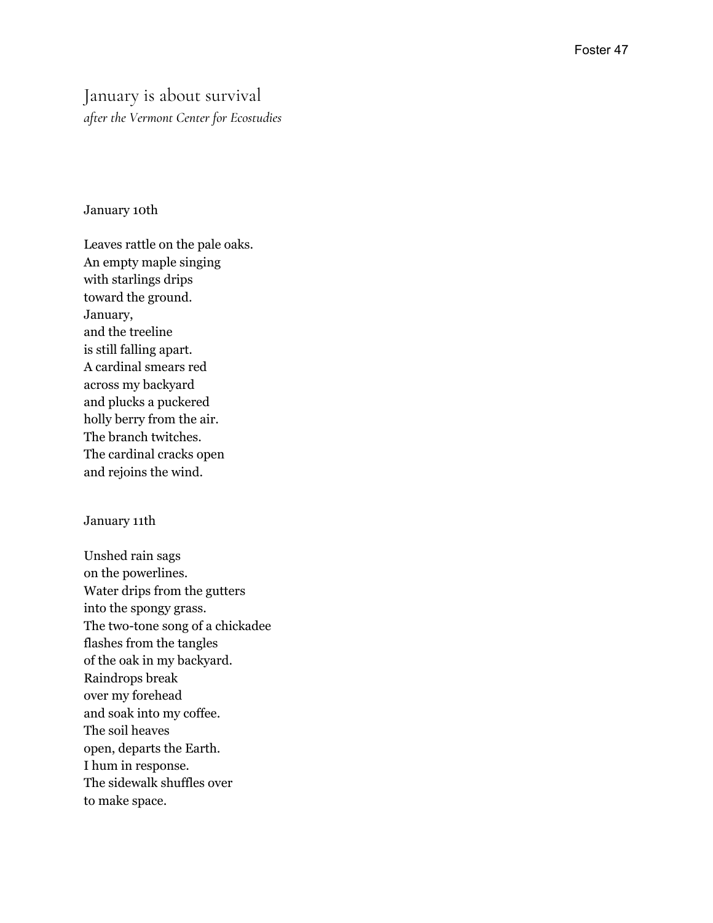#### January is about survival after the Vermont Center for Ecostudies

#### January 10th

Leaves rattle on the pale oaks. An empty maple singing with starlings drips toward the ground. January, and the treeline is still falling apart. A cardinal smears red across my backyard a n d p l u c k s a p u c k e r e d holly berry from the air. The branch twitches. The cardinal cracks open and rejoins the wind.

#### January 11th

Unshed rain sags on the powerlines. Water drips from the gutters into the spongy grass. The two-tone song of a chickadee flashes from the tangles of the oak in my backyard. Raindrops break over my forehead and soak into my coffee. The soil heaves open, departs the Earth. I hum in response. The sidewalk shuffles over to make space.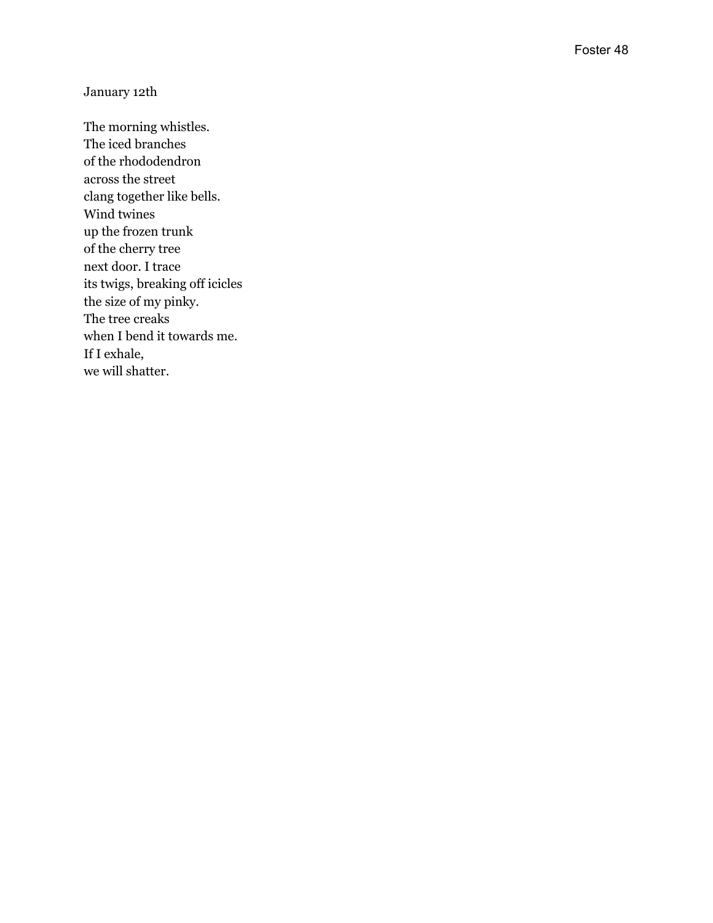#### January 12th

The morning whistles. The iced branches of the rhododendron across the street clang together like bells. Wind twines up the frozen trunk of the cherry tree next door. I trace its twigs, breaking off icicles the size of my pinky. The tree creaks when I bend it towards me. If I exhale, we will shatter.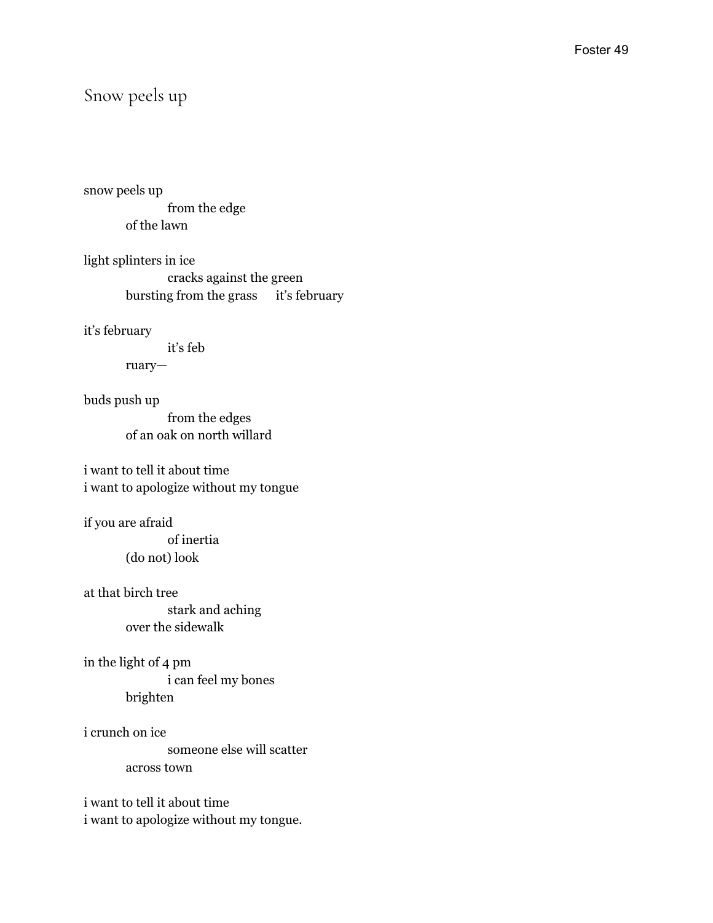#### Snow peels up

snow peels up from the edge of the lawn

light splinters in ice cracks against the green bursting from the grass it's february

it's february

it's feb

ruary—

buds push up

from the edges of an oak on north willard

i want to tell it about time i want to apologize without my tongue

if you are afraid

of inertia (do not) look

at that birch tree stark and aching

over the sidewalk

in the light of 4 pm i can feel my bones brighten

i crunch on ice someone else will scatter across town

i want to tell it about time i want to apologize without my tongue.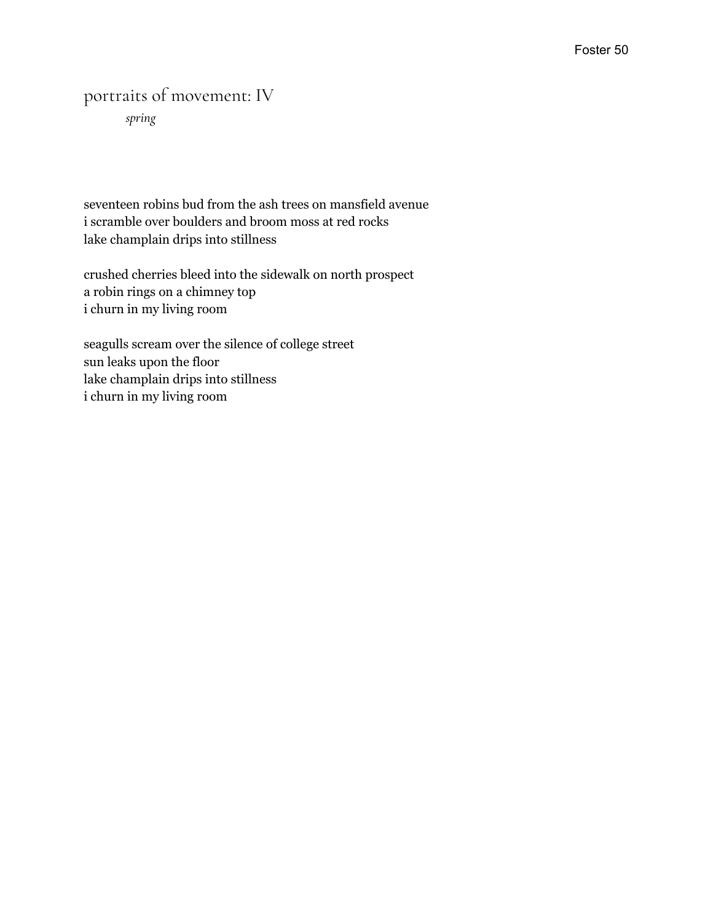## portraits of movement: IV

*spring*

seventeen robins bud from the ash trees on mansfield avenue i scramble over boulders and broom moss at red rocks lake champlain drips into stillness

crushed cherries bleed into the sidewalk on north prospect a robin rings on a chimney top i churn in my living room

seagulls scream over the silence of college street sun leaks upon the floor lake champlain drips into stillness i churn in my living room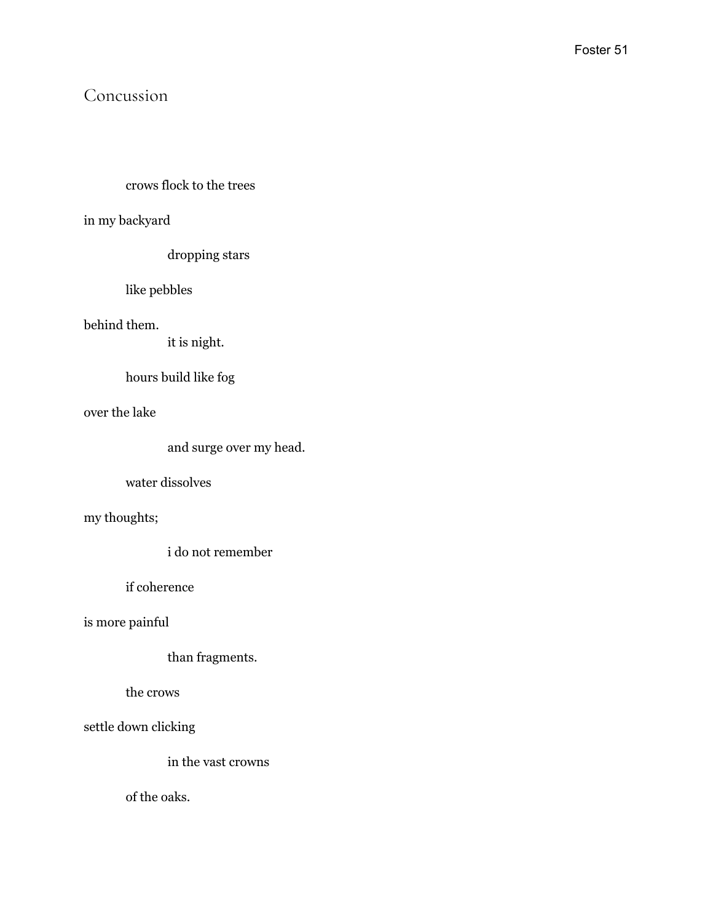## Concussion

#### crows flock to the trees

in my backyard

dropping stars

like pebbles

behind them.

it is night.

hours build like fog

over the lake

```
and surge over my head.
```
water dissolves

my thoughts;

i do not remember

if coherence

is more painful

than fragments.

the crows

settle down clicking

in the vast crowns

of the oaks.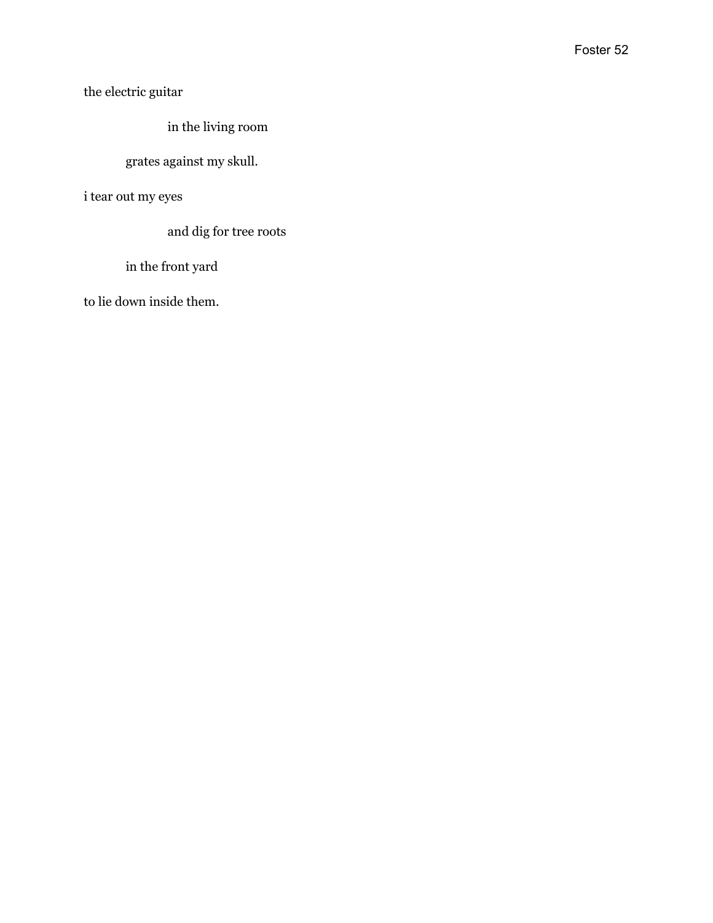the electric guitar

in the living room

#### grates against my skull.

i tear out my eyes

and dig for tree roots

in the front yard

to lie down inside them.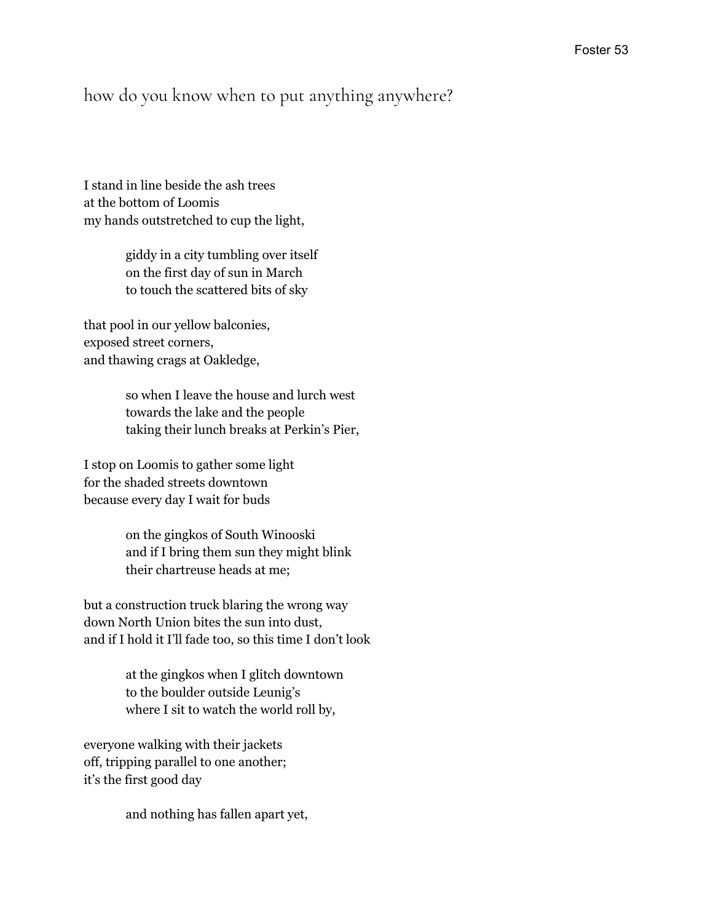#### how do you know when to put anything anywhere?

I stand in line beside the ash trees at the bottom of Loomis my hands outstretched to cup the light,

> giddy in a city tumbling over itself on the first day of sun in March to touch the scattered bits of sky

that pool in our yellow balconies, exposed street corners, and thawing crags at Oakledge,

> so when I leave the house and lurch west towards the lake and the people taking their lunch breaks at Perkin's Pier,

I stop on Loomis to gather some light for the shaded streets downtown because every day I wait for buds

> on the gingkos of South Winooski and if I bring them sun they might blink their chartreuse heads at me;

but a construction truck blaring the wrong way down North Union bites the sun into dust, and if I hold it I'll fade too, so this time I don't look

> at the gingkos when I glitch downtown to the boulder outside Leunig's where I sit to watch the world roll by,

everyone walking with their jackets off, tripping parallel to one another; it's the first good day

and nothing has fallen apart yet,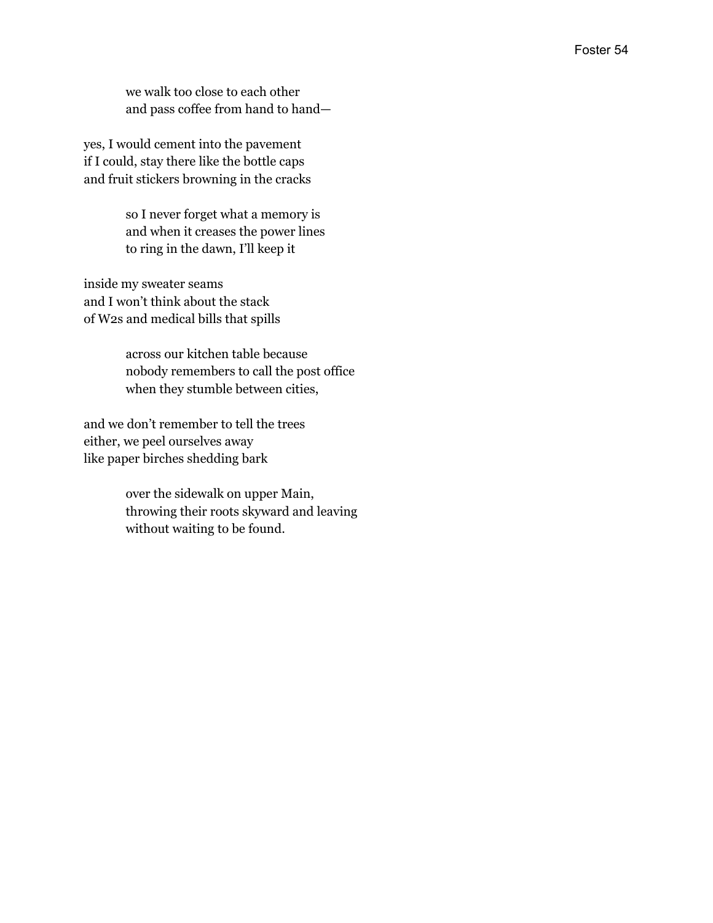we walk too close to each other and pass coffee from hand to hand—

yes, I would cement into the pavement if I could, stay there like the bottle caps and fruit stickers browning in the cracks

> so I never forget what a memory is and when it creases the power lines to ring in the dawn, I'll keep it

inside my sweater seams and I won't think about the stack of W2s and medical bills that spills

> across our kitchen table because nobody remembers to call the post office when they stumble between cities,

and we don't remember to tell the trees either, we peel ourselves away like paper birches shedding bark

> over the sidewalk on upper Main, throwing their roots skyward and leaving without waiting to be found.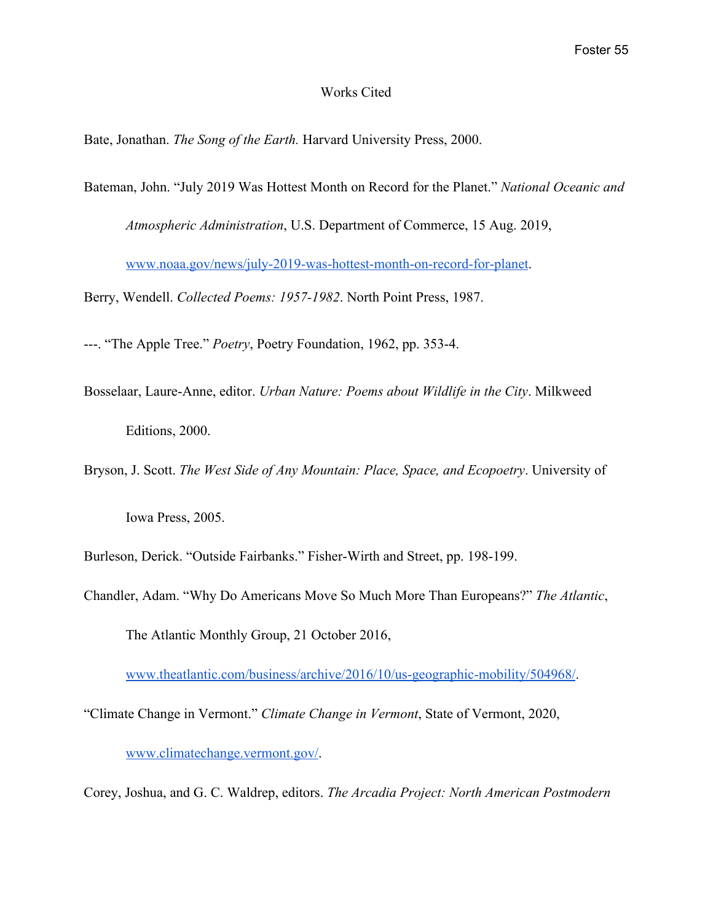#### Works Cited

Bate, Jonathan. *The Song of the Earth.* Harvard University Press, 2000.

Bateman, John. "July 2019 Was Hottest Month on Record for the Planet." *National Oceanic and*

*Atmospheric Administration*, U.S. Department of Commerce, 15 Aug. 2019,

[www.noaa.gov/news/july-2019-was-hottest-month-on-record-for-planet.](http://www.noaa.gov/news/july-2019-was-hottest-month-on-record-for-planet)

Berry, Wendell. *Collected Poems: 1957-1982*. North Point Press, 1987.

---. "The Apple Tree." *Poetry*, Poetry Foundation, 1962, pp. 353-4.

Bosselaar, Laure-Anne, editor. *Urban Nature: Poems about Wildlife in the City*. Milkweed Editions, 2000.

Bryson, J. Scott. *The West Side of Any Mountain: Place, Space, and Ecopoetry*. University of

Iowa Press, 2005.

Burleson, Derick. "Outside Fairbanks." Fisher-Wirth and Street, pp. 198-199.

Chandler, Adam. "Why Do Americans Move So Much More Than Europeans?" *The Atlantic*, The Atlantic Monthly Group, 21 October 2016,

[www.theatlantic.com/business/archive/2016/10/us-geographic-mobility/504968/](https://www.theatlantic.com/business/archive/2016/10/us-geographic-mobility/504968/).

"Climate Change in Vermont." *Climate Change in Vermont*, State of Vermont, 2020,

[www.climatechange.vermont.gov/.](http://www.climatechange.vermont.gov/)

Corey, Joshua, and G. C. Waldrep, editors. *The Arcadia Project: North American Postmodern*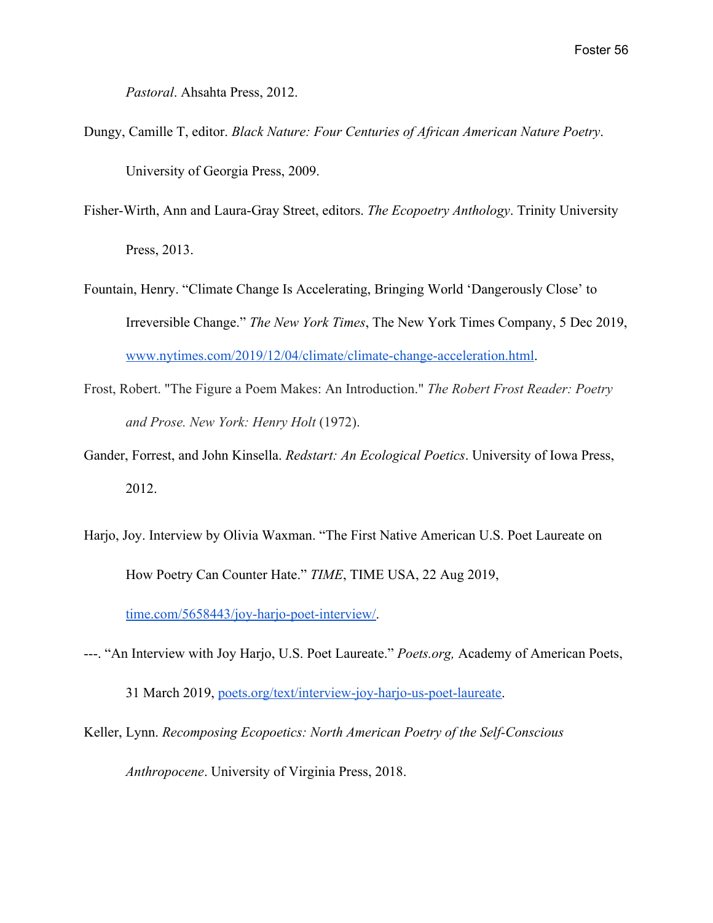*Pastoral*. Ahsahta Press, 2012.

- Dungy, Camille T, editor. *Black Nature: Four Centuries of African American Nature Poetry*. University of Georgia Press, 2009.
- Fisher-Wirth, Ann and Laura-Gray Street, editors. *The Ecopoetry Anthology*. Trinity University Press, 2013.
- Fountain, Henry. "Climate Change Is Accelerating, Bringing World 'Dangerously Close' to Irreversible Change." *The New York Times*, The New York Times Company, 5 Dec 2019, [www.nytimes.com/2019/12/04/climate/climate-change-acceleration.html.](https://www.nytimes.com/2019/12/04/climate/climate-change-acceleration.html)
- Frost, Robert. "The Figure a Poem Makes: An Introduction." *The Robert Frost Reader: Poetry and Prose. New York: Henry Holt* (1972).
- Gander, Forrest, and John Kinsella. *Redstart: An Ecological Poetics*. University of Iowa Press, 2012.
- Harjo, Joy. Interview by Olivia Waxman. "The First Native American U.S. Poet Laureate on How Poetry Can Counter Hate." *TIME*, TIME USA, 22 Aug 2019,

[time.com/5658443/joy-harjo-poet-interview/.](https://time.com/5658443/joy-harjo-poet-interview/)

---. "An Interview with Joy Harjo, U.S. Poet Laureate." *Poets.org,* Academy of American Poets,

31 March 2019, [poets.org/text/interview-joy-harjo-us-poet-laureate.](https://poets.org/text/interview-joy-harjo-us-poet-laureate)

Keller, Lynn. *Recomposing Ecopoetics: North American Poetry of the Self-Conscious*

*Anthropocene*. University of Virginia Press, 2018.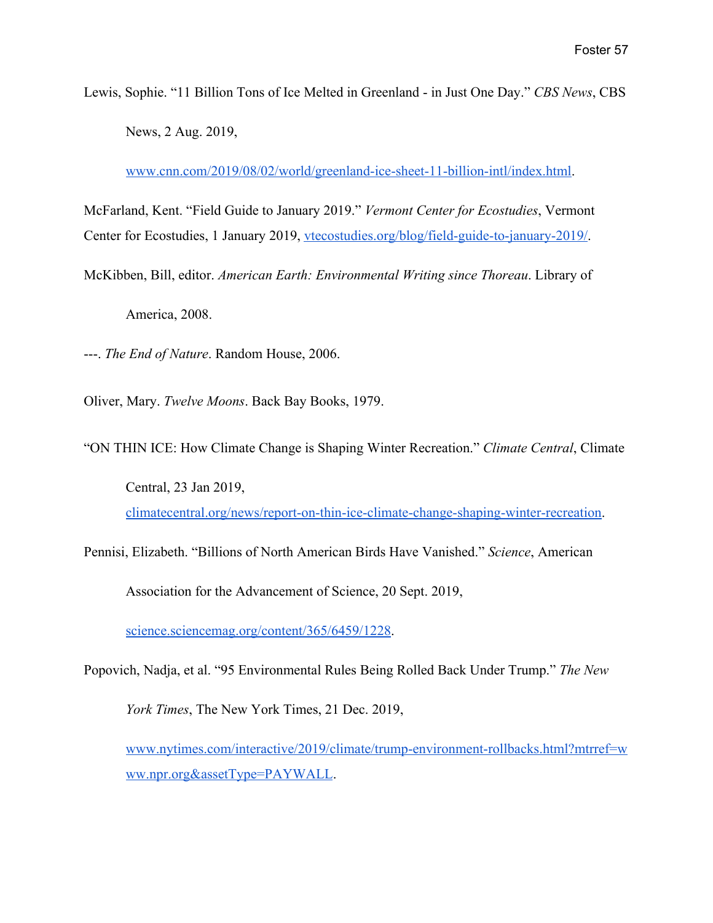Lewis, Sophie. "11 Billion Tons of Ice Melted in Greenland - in Just One Day." *CBS News*, CBS News, 2 Aug. 2019,

[www.cnn.com/2019/08/02/world/greenland-ice-sheet-11-billion-intl/index.html.](https://www.cnn.com/2019/08/02/world/greenland-ice-sheet-11-billion-intl/index.html)

McFarland, Kent. "Field Guide to January 2019." *Vermont Center for Ecostudies*, Vermont Center for Ecostudies, 1 January 2019, [vtecostudies.org/blog/field-guide-to-january-2019/.](https://vtecostudies.org/blog/field-guide-to-january-2019/)

McKibben, Bill, editor. *American Earth: Environmental Writing since Thoreau*. Library of America, 2008.

---. *The End of Nature*. Random House, 2006.

Oliver, Mary. *Twelve Moons*. Back Bay Books, 1979.

"ON THIN ICE: How Climate Change is Shaping Winter Recreation." *Climate Central*, Climate Central, 23 Jan 2019,

[climatecentral.org/news/report-on-thin-ice-climate-change-shaping-winter-recreation.](https://www.climatecentral.org/news/report-on-thin-ice-climate-change-shaping-winter-recreation)

Pennisi, Elizabeth. "Billions of North American Birds Have Vanished." *Science*, American

Association for the Advancement of Science, 20 Sept. 2019,

[science.sciencemag.org/content/365/6459/1228.](https://science.sciencemag.org/content/365/6459/1228)

Popovich, Nadja, et al. "95 Environmental Rules Being Rolled Back Under Trump." *The New*

*York Times*, The New York Times, 21 Dec. 2019,

[www.nytimes.com/interactive/2019/climate/trump-environment-rollbacks.html?mtrref=w](https://www.nytimes.com/interactive/2019/climate/trump-environment-rollbacks.html?mtrref=www.npr.org&assetType=PAYWALL) [ww.npr.org&assetType=PAYWALL](https://www.nytimes.com/interactive/2019/climate/trump-environment-rollbacks.html?mtrref=www.npr.org&assetType=PAYWALL).